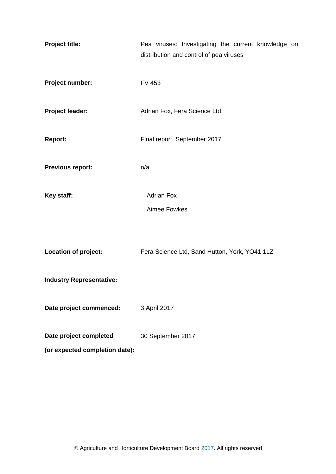| <b>Project title:</b>           | Pea viruses: Investigating the current knowledge on<br>distribution and control of pea viruses |  |  |  |  |  |  |  |
|---------------------------------|------------------------------------------------------------------------------------------------|--|--|--|--|--|--|--|
| Project number:                 | <b>FV 453</b>                                                                                  |  |  |  |  |  |  |  |
| <b>Project leader:</b>          | Adrian Fox, Fera Science Ltd                                                                   |  |  |  |  |  |  |  |
| <b>Report:</b>                  | Final report, September 2017                                                                   |  |  |  |  |  |  |  |
| <b>Previous report:</b>         | n/a                                                                                            |  |  |  |  |  |  |  |
| Key staff:                      | <b>Adrian Fox</b>                                                                              |  |  |  |  |  |  |  |
|                                 | Aimee Fowkes                                                                                   |  |  |  |  |  |  |  |
| Location of project:            | Fera Science Ltd, Sand Hutton, York, YO41 1LZ                                                  |  |  |  |  |  |  |  |
| <b>Industry Representative:</b> |                                                                                                |  |  |  |  |  |  |  |
| Date project commenced:         | 3 April 2017                                                                                   |  |  |  |  |  |  |  |
| Date project completed          | 30 September 2017                                                                              |  |  |  |  |  |  |  |
| (or expected completion date):  |                                                                                                |  |  |  |  |  |  |  |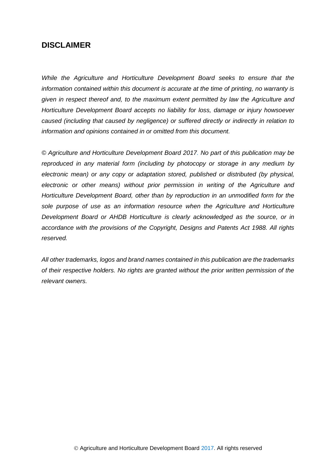## **DISCLAIMER**

*While the Agriculture and Horticulture Development Board seeks to ensure that the information contained within this document is accurate at the time of printing, no warranty is given in respect thereof and, to the maximum extent permitted by law the Agriculture and Horticulture Development Board accepts no liability for loss, damage or injury howsoever caused (including that caused by negligence) or suffered directly or indirectly in relation to information and opinions contained in or omitted from this document.* 

*© Agriculture and Horticulture Development Board 2017. No part of this publication may be reproduced in any material form (including by photocopy or storage in any medium by electronic mean) or any copy or adaptation stored, published or distributed (by physical, electronic or other means) without prior permission in writing of the Agriculture and Horticulture Development Board, other than by reproduction in an unmodified form for the sole purpose of use as an information resource when the Agriculture and Horticulture Development Board or AHDB Horticulture is clearly acknowledged as the source, or in accordance with the provisions of the Copyright, Designs and Patents Act 1988. All rights reserved.*

*All other trademarks, logos and brand names contained in this publication are the trademarks of their respective holders. No rights are granted without the prior written permission of the relevant owners.*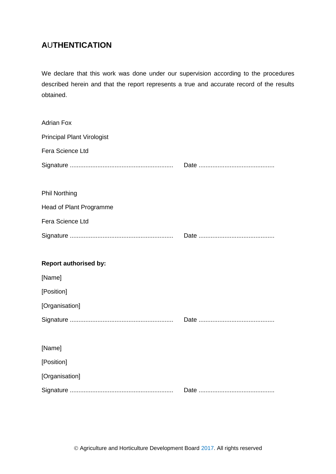# **A**U**THENTICATION**

We declare that this work was done under our supervision according to the procedures described herein and that the report represents a true and accurate record of the results obtained.

| <b>Adrian Fox</b>                 |  |
|-----------------------------------|--|
| <b>Principal Plant Virologist</b> |  |
| Fera Science Ltd                  |  |
|                                   |  |
|                                   |  |
| <b>Phil Northing</b>              |  |
| Head of Plant Programme           |  |
| Fera Science Ltd                  |  |
|                                   |  |
|                                   |  |
| <b>Report authorised by:</b>      |  |
|                                   |  |
| [Name]                            |  |
| [Position]                        |  |
| [Organisation]                    |  |
|                                   |  |
|                                   |  |
| [Name]                            |  |
| [Position]                        |  |
| [Organisation]                    |  |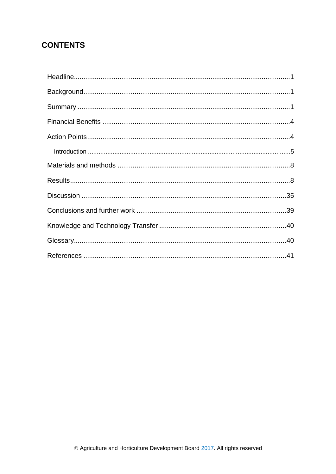# **CONTENTS**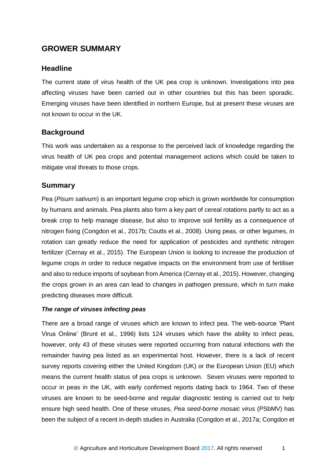# **GROWER SUMMARY**

### <span id="page-4-0"></span>**Headline**

The current state of virus health of the UK pea crop is unknown. Investigations into pea affecting viruses have been carried out in other countries but this has been sporadic. Emerging viruses have been identified in northern Europe, but at present these viruses are not known to occur in the UK.

### <span id="page-4-1"></span>**Background**

This work was undertaken as a response to the perceived lack of knowledge regarding the virus health of UK pea crops and potential management actions which could be taken to mitigate viral threats to those crops.

### <span id="page-4-2"></span>**Summary**

Pea (*Pisum sativum*) is an important legume crop which is grown worldwide for consumption by humans and animals. Pea plants also form a key part of cereal rotations partly to act as a break crop to help manage disease, but also to improve soil fertility as a consequence of nitrogen fixing (Congdon et al., 2017b; Coutts et al., 2008). Using peas, or other legumes, in rotation can greatly reduce the need for application of pesticides and synthetic nitrogen fertilizer (Cernay et al., 2015). The European Union is looking to increase the production of legume crops in order to reduce negative impacts on the environment from use of fertiliser and also to reduce imports of soybean from America (Cernay et al., 2015). However, changing the crops grown in an area can lead to changes in pathogen pressure, which in turn make predicting diseases more difficult.

#### *The range of viruses infecting peas*

There are a broad range of viruses which are known to infect pea. The web-source 'Plant Virus Online' (Brunt et al., 1996) lists 124 viruses which have the ability to infect peas, however, only 43 of these viruses were reported occurring from natural infections with the remainder having pea listed as an experimental host. However, there is a lack of recent survey reports covering either the United Kingdom (UK) or the European Union (EU) which means the current health status of pea crops is unknown. Seven viruses were reported to occur in peas in the UK, with early confirmed reports dating back to 1964. Two of these viruses are known to be seed-borne and regular diagnostic testing is carried out to help ensure high seed health. One of these viruses, *Pea seed-borne mosaic virus* (PSbMV) has been the subject of a recent in-depth studies in Australia (Congdon et al., 2017a; Congdon et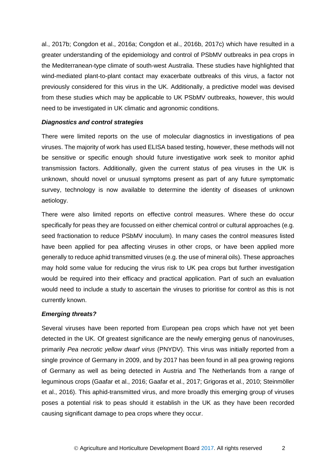al., 2017b; Congdon et al., 2016a; Congdon et al., 2016b, 2017c) which have resulted in a greater understanding of the epidemiology and control of PSbMV outbreaks in pea crops in the Mediterranean-type climate of south-west Australia. These studies have highlighted that wind-mediated plant-to-plant contact may exacerbate outbreaks of this virus, a factor not previously considered for this virus in the UK. Additionally, a predictive model was devised from these studies which may be applicable to UK PSbMV outbreaks, however, this would need to be investigated in UK climatic and agronomic conditions.

#### *Diagnostics and control strategies*

There were limited reports on the use of molecular diagnostics in investigations of pea viruses. The majority of work has used ELISA based testing, however, these methods will not be sensitive or specific enough should future investigative work seek to monitor aphid transmission factors. Additionally, given the current status of pea viruses in the UK is unknown, should novel or unusual symptoms present as part of any future symptomatic survey, technology is now available to determine the identity of diseases of unknown aetiology.

There were also limited reports on effective control measures. Where these do occur specifically for peas they are focussed on either chemical control or cultural approaches (e.g. seed fractionation to reduce PSbMV inoculum). In many cases the control measures listed have been applied for pea affecting viruses in other crops, or have been applied more generally to reduce aphid transmitted viruses (e.g. the use of mineral oils). These approaches may hold some value for reducing the virus risk to UK pea crops but further investigation would be required into their efficacy and practical application. Part of such an evaluation would need to include a study to ascertain the viruses to prioritise for control as this is not currently known.

#### *Emerging threats?*

Several viruses have been reported from European pea crops which have not yet been detected in the UK. Of greatest significance are the newly emerging genus of nanoviruses, primarily *Pea necrotic yellow dwarf virus* (PNYDV). This virus was initially reported from a single province of Germany in 2009, and by 2017 has been found in all pea growing regions of Germany as well as being detected in Austria and The Netherlands from a range of leguminous crops (Gaafar et al., 2016; Gaafar et al., 2017; Grigoras et al., 2010; Steinmöller et al., 2016). This aphid-transmitted virus, and more broadly this emerging group of viruses poses a potential risk to peas should it establish in the UK as they have been recorded causing significant damage to pea crops where they occur.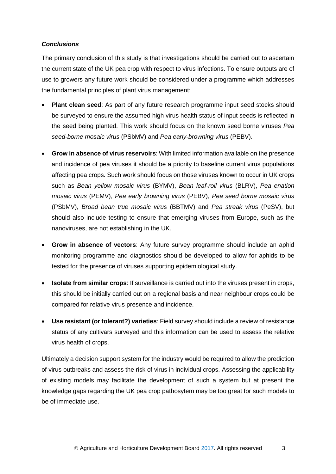#### *Conclusions*

The primary conclusion of this study is that investigations should be carried out to ascertain the current state of the UK pea crop with respect to virus infections. To ensure outputs are of use to growers any future work should be considered under a programme which addresses the fundamental principles of plant virus management:

- **Plant clean seed**: As part of any future research programme input seed stocks should be surveyed to ensure the assumed high virus health status of input seeds is reflected in the seed being planted. This work should focus on the known seed borne viruses *Pea seed-borne mosaic virus* (PSbMV) and *Pea early-browning virus* (PEBV).
- **Grow in absence of virus reservoirs**: With limited information available on the presence and incidence of pea viruses it should be a priority to baseline current virus populations affecting pea crops. Such work should focus on those viruses known to occur in UK crops such as *Bean yellow mosaic virus* (BYMV), *Bean leaf-roll virus* (BLRV), *Pea enation mosaic virus* (PEMV), *Pea early browning virus* (PEBV), *Pea seed borne mosaic virus*  (PSbMV), *Broad bean true mosaic virus* (BBTMV) and *Pea streak virus* (PeSV), but should also include testing to ensure that emerging viruses from Europe, such as the nanoviruses, are not establishing in the UK.
- **Grow in absence of vectors**: Any future survey programme should include an aphid monitoring programme and diagnostics should be developed to allow for aphids to be tested for the presence of viruses supporting epidemiological study.
- **Isolate from similar crops**: If surveillance is carried out into the viruses present in crops, this should be initially carried out on a regional basis and near neighbour crops could be compared for relative virus presence and incidence.
- **Use resistant (or tolerant?) varieties**: Field survey should include a review of resistance status of any cultivars surveyed and this information can be used to assess the relative virus health of crops.

Ultimately a decision support system for the industry would be required to allow the prediction of virus outbreaks and assess the risk of virus in individual crops. Assessing the applicability of existing models may facilitate the development of such a system but at present the knowledge gaps regarding the UK pea crop pathosytem may be too great for such models to be of immediate use.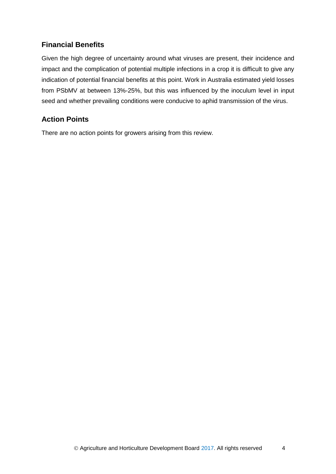# <span id="page-7-0"></span>**Financial Benefits**

Given the high degree of uncertainty around what viruses are present, their incidence and impact and the complication of potential multiple infections in a crop it is difficult to give any indication of potential financial benefits at this point. Work in Australia estimated yield losses from PSbMV at between 13%-25%, but this was influenced by the inoculum level in input seed and whether prevailing conditions were conducive to aphid transmission of the virus.

# <span id="page-7-1"></span>**Action Points**

There are no action points for growers arising from this review.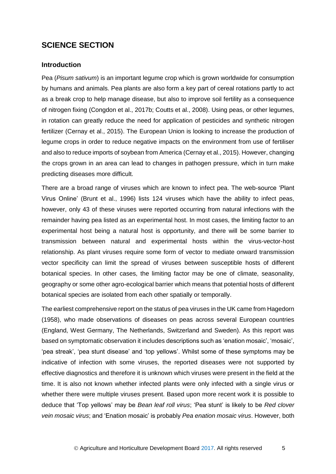# **SCIENCE SECTION**

#### <span id="page-8-0"></span>**Introduction**

Pea (*Pisum sativum*) is an important legume crop which is grown worldwide for consumption by humans and animals. Pea plants are also form a key part of cereal rotations partly to act as a break crop to help manage disease, but also to improve soil fertility as a consequence of nitrogen fixing (Congdon et al., 2017b; Coutts et al., 2008). Using peas, or other legumes, in rotation can greatly reduce the need for application of pesticides and synthetic nitrogen fertilizer (Cernay et al., 2015). The European Union is looking to increase the production of legume crops in order to reduce negative impacts on the environment from use of fertiliser and also to reduce imports of soybean from America (Cernay et al., 2015). However, changing the crops grown in an area can lead to changes in pathogen pressure, which in turn make predicting diseases more difficult.

There are a broad range of viruses which are known to infect pea. The web-source 'Plant Virus Online' (Brunt et al., 1996) lists 124 viruses which have the ability to infect peas, however, only 43 of these viruses were reported occurring from natural infections with the remainder having pea listed as an experimental host. In most cases, the limiting factor to an experimental host being a natural host is opportunity, and there will be some barrier to transmission between natural and experimental hosts within the virus-vector-host relationship. As plant viruses require some form of vector to mediate onward transmission vector specificity can limit the spread of viruses between susceptible hosts of different botanical species. In other cases, the limiting factor may be one of climate, seasonality, geography or some other agro-ecological barrier which means that potential hosts of different botanical species are isolated from each other spatially or temporally.

The earliest comprehensive report on the status of pea viruses in the UK came from Hagedorn (1958), who made observations of diseases on peas across several European countries (England, West Germany, The Netherlands, Switzerland and Sweden). As this report was based on symptomatic observation it includes descriptions such as 'enation mosaic', 'mosaic', 'pea streak', 'pea stunt disease' and 'top yellows'. Whilst some of these symptoms may be indicative of infection with some viruses, the reported diseases were not supported by effective diagnostics and therefore it is unknown which viruses were present in the field at the time. It is also not known whether infected plants were only infected with a single virus or whether there were multiple viruses present. Based upon more recent work it is possible to deduce that 'Top yellows' may be *Bean leaf roll virus*; 'Pea stunt' is likely to be *Red clover vein mosaic virus*; and 'Enation mosaic' is probably *Pea enation mosaic virus*. However, both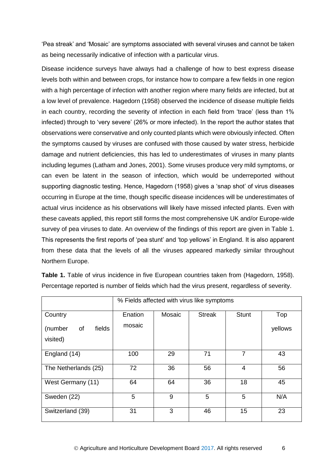'Pea streak' and 'Mosaic' are symptoms associated with several viruses and cannot be taken as being necessarily indicative of infection with a particular virus.

Disease incidence surveys have always had a challenge of how to best express disease levels both within and between crops, for instance how to compare a few fields in one region with a high percentage of infection with another region where many fields are infected, but at a low level of prevalence. Hagedorn (1958) observed the incidence of disease multiple fields in each country, recording the severity of infection in each field from 'trace' (less than 1% infected) through to 'very severe' (26% or more infected). In the report the author states that observations were conservative and only counted plants which were obviously infected. Often the symptoms caused by viruses are confused with those caused by water stress, herbicide damage and nutrient deficiencies, this has led to underestimates of viruses in many plants including legumes (Latham and Jones, 2001). Some viruses produce very mild symptoms, or can even be latent in the season of infection, which would be underreported without supporting diagnostic testing. Hence, Hagedorn (1958) gives a 'snap shot' of virus diseases occurring in Europe at the time, though specific disease incidences will be underestimates of actual virus incidence as his observations will likely have missed infected plants. Even with these caveats applied, this report still forms the most comprehensive UK and/or Europe-wide survey of pea viruses to date. An overview of the findings of this report are given in Table 1. This represents the first reports of 'pea stunt' and 'top yellows' in England. It is also apparent from these data that the levels of all the viruses appeared markedly similar throughout Northern Europe.

|                                     | % Fields affected with virus like symptoms |        |               |              |         |
|-------------------------------------|--------------------------------------------|--------|---------------|--------------|---------|
| Country                             | Enation                                    | Mosaic | <b>Streak</b> | <b>Stunt</b> | Top     |
| (number<br>fields<br>of<br>visited) | mosaic                                     |        |               |              | yellows |
| England (14)                        | 100                                        | 29     | 71            | 7            | 43      |
| The Netherlands (25)                | 72                                         | 36     | 56            | 4            | 56      |
| West Germany (11)                   | 64                                         | 64     | 36            | 18           | 45      |
| Sweden (22)                         | 5                                          | 9      | 5             | 5            | N/A     |
| Switzerland (39)                    | 31                                         | 3      | 46            | 15           | 23      |

**Table 1.** Table of virus incidence in five European countries taken from (Hagedorn, 1958). Percentage reported is number of fields which had the virus present, regardless of severity.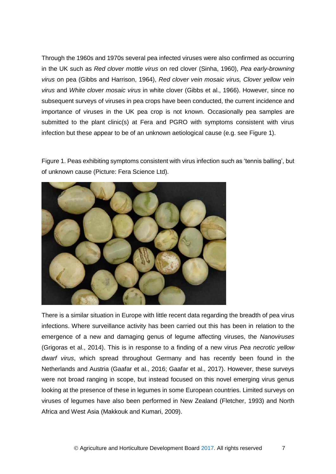Through the 1960s and 1970s several pea infected viruses were also confirmed as occurring in the UK such as *Red clover mottle virus* on red clover (Sinha, 1960), *Pea early-browning virus* on pea (Gibbs and Harrison, 1964), *Red clover vein mosaic virus, Clover yellow vein virus* and *White clover mosaic virus* in white clover (Gibbs et al., 1966). However, since no subsequent surveys of viruses in pea crops have been conducted, the current incidence and importance of viruses in the UK pea crop is not known. Occasionally pea samples are submitted to the plant clinic(s) at Fera and PGRO with symptoms consistent with virus infection but these appear to be of an unknown aetiological cause (e.g. see Figure 1).

Figure 1. Peas exhibiting symptoms consistent with virus infection such as 'tennis balling', but of unknown cause (Picture: Fera Science Ltd).



There is a similar situation in Europe with little recent data regarding the breadth of pea virus infections. Where surveillance activity has been carried out this has been in relation to the emergence of a new and damaging genus of legume affecting viruses, the *Nanoviruses* (Grigoras et al., 2014). This is in response to a finding of a new virus *Pea necrotic yellow dwarf virus*, which spread throughout Germany and has recently been found in the Netherlands and Austria (Gaafar et al., 2016; Gaafar et al., 2017). However, these surveys were not broad ranging in scope, but instead focused on this novel emerging virus genus looking at the presence of these in legumes in some European countries. Limited surveys on viruses of legumes have also been performed in New Zealand (Fletcher, 1993) and North Africa and West Asia (Makkouk and Kumari, 2009).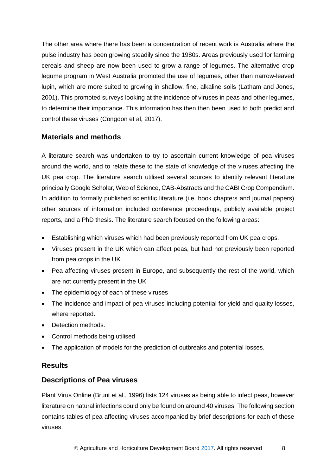The other area where there has been a concentration of recent work is Australia where the pulse industry has been growing steadily since the 1980s. Areas previously used for farming cereals and sheep are now been used to grow a range of legumes. The alternative crop legume program in West Australia promoted the use of legumes, other than narrow-leaved lupin, which are more suited to growing in shallow, fine, alkaline soils (Latham and Jones, 2001). This promoted surveys looking at the incidence of viruses in peas and other legumes, to determine their importance. This information has then then been used to both predict and control these viruses (Congdon et al, 2017).

# <span id="page-11-0"></span>**Materials and methods**

A literature search was undertaken to try to ascertain current knowledge of pea viruses around the world, and to relate these to the state of knowledge of the viruses affecting the UK pea crop. The literature search utilised several sources to identify relevant literature principally Google Scholar, Web of Science, CAB-Abstracts and the CABI Crop Compendium. In addition to formally published scientific literature (i.e. book chapters and journal papers) other sources of information included conference proceedings, publicly available project reports, and a PhD thesis. The literature search focused on the following areas:

- Establishing which viruses which had been previously reported from UK pea crops.
- Viruses present in the UK which can affect peas, but had not previously been reported from pea crops in the UK.
- Pea affecting viruses present in Europe, and subsequently the rest of the world, which are not currently present in the UK
- The epidemiology of each of these viruses
- The incidence and impact of pea viruses including potential for yield and quality losses, where reported.
- Detection methods.
- Control methods being utilised
- The application of models for the prediction of outbreaks and potential losses.

# <span id="page-11-1"></span>**Results**

### **Descriptions of Pea viruses**

Plant Virus Online (Brunt et al., 1996) lists 124 viruses as being able to infect peas, however literature on natural infections could only be found on around 40 viruses. The following section contains tables of pea affecting viruses accompanied by brief descriptions for each of these viruses.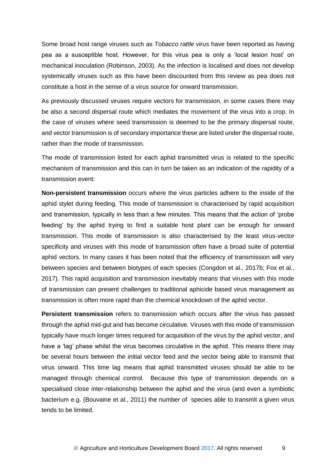Some broad host range viruses such as *Tobacco rattle virus* have been reported as having pea as a susceptible host. However, for this virus pea is only a 'local lesion host' on mechanical inoculation (Robinson, 2003). As the infection is localised and does not develop systemically viruses such as this have been discounted from this review as pea does not constitute a host in the sense of a virus source for onward transmission.

As previously discussed viruses require vectors for transmission, in some cases there may be also a second dispersal route which mediates the movement of the virus into a crop. In the case of viruses where seed transmission is deemed to be the primary dispersal route, and vector transmission is of secondary importance these are listed under the dispersal route, rather than the mode of transmission.

The mode of transmission listed for each aphid transmitted virus is related to the specific mechanism of transmission and this can in turn be taken as an indication of the rapidity of a transmission event:

**Non-persistent transmission** occurs where the virus particles adhere to the inside of the aphid stylet during feeding. This mode of transmission is characterised by rapid acquisition and transmission, typically in less than a few minutes. This means that the action of 'probe feeding' by the aphid trying to find a suitable host plant can be enough for onward transmission. This mode of transmission is also characterised by the least virus-vector specificity and viruses with this mode of transmission often have a broad suite of potential aphid vectors. In many cases it has been noted that the efficiency of transmission will vary between species and between biotypes of each species (Congdon et al., 2017b; Fox et al., 2017). This rapid acquisition and transmission inevitably means that viruses with this mode of transmission can present challenges to traditional aphicide based virus management as transmission is often more rapid than the chemical knockdown of the aphid vector.

**Persistent transmission** refers to transmission which occurs after the virus has passed through the aphid mid-gut and has become circulative. Viruses with this mode of transmission typically have much longer times required for acquisition of the virus by the aphid vector, and have a 'lag' phase whilst the virus becomes circulative in the aphid. This means there may be several hours between the initial vector feed and the vector being able to transmit that virus onward. This time lag means that aphid transmitted viruses should be able to be managed through chemical control. Because this type of transmission depends on a specialised close inter-relationship between the aphid and the virus (and even a symbiotic bacterium e.g. (Bouvaine et al., 2011) the number of species able to transmit a given virus tends to be limited.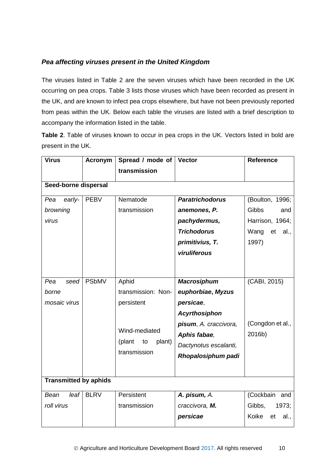## *Pea affecting viruses present in the United Kingdom*

The viruses listed in Table 2 are the seven viruses which have been recorded in the UK occurring on pea crops. Table 3 lists those viruses which have been recorded as present in the UK, and are known to infect pea crops elsewhere, but have not been previously reported from peas within the UK. Below each table the viruses are listed with a brief description to accompany the information listed in the table.

**Table 2**. Table of viruses known to occur in pea crops in the UK. Vectors listed in bold are present in the UK.

| <b>Virus</b>                                 | <b>Acronym</b>       | Spread / mode of<br>transmission                                                                     | <b>Vector</b>                                                                                                                                                        | <b>Reference</b>                                                                         |  |  |  |  |
|----------------------------------------------|----------------------|------------------------------------------------------------------------------------------------------|----------------------------------------------------------------------------------------------------------------------------------------------------------------------|------------------------------------------------------------------------------------------|--|--|--|--|
|                                              | Seed-borne dispersal |                                                                                                      |                                                                                                                                                                      |                                                                                          |  |  |  |  |
| early-<br>Pea<br>browning<br>virus           | <b>PEBV</b>          | Nematode<br>transmission                                                                             | <b>Paratrichodorus</b><br>anemones, P.<br>pachydermus,<br><b>Trichodorus</b><br>primitivius, T.<br>viruliferous                                                      | (Boulton, 1996;<br><b>Gibbs</b><br>and<br>Harrison, 1964;<br>Wang<br>et<br>al.,<br>1997) |  |  |  |  |
| seed<br>Pea<br>borne<br>mosaic virus         | <b>PSbMV</b>         | Aphid<br>transmission: Non-<br>persistent<br>Wind-mediated<br>(plant<br>plant)<br>to<br>transmission | <b>Macrosiphum</b><br>euphorbiae, Myzus<br>persicae,<br><b>Acyrthosiphon</b><br>pisum, A. craccivora,<br>Aphis fabae,<br>Dactynotus escalanti,<br>Rhopalosiphum padi | (CABI, 2015)<br>(Congdon et al.,<br>2016b)                                               |  |  |  |  |
| <b>Transmitted by aphids</b><br>leaf<br>Bean | <b>BLRV</b>          | Persistent                                                                                           | A. pisum, A.                                                                                                                                                         | (Cockbain and                                                                            |  |  |  |  |
| roll virus                                   |                      | transmission                                                                                         | craccivora, M.<br>persicae                                                                                                                                           | Gibbs,<br>1973;<br>Koike<br>et<br>al.,                                                   |  |  |  |  |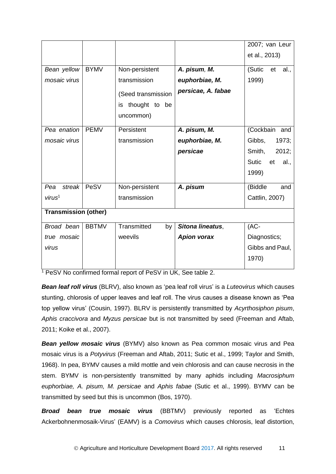|                             |              |                     |                    | 2007; van Leur       |
|-----------------------------|--------------|---------------------|--------------------|----------------------|
|                             |              |                     |                    | et al., 2013)        |
|                             |              |                     |                    |                      |
| Bean yellow                 | <b>BYMV</b>  | Non-persistent      | A. pisum, M.       | (Sutic<br>et<br>al., |
| mosaic virus                |              | transmission        | euphorbiae, M.     | 1999)                |
|                             |              | (Seed transmission  | persicae, A. fabae |                      |
|                             |              | thought to be<br>is |                    |                      |
|                             |              | uncommon)           |                    |                      |
|                             |              |                     |                    |                      |
| Pea enation                 | <b>PEMV</b>  | Persistent          | A. pisum, M.       | (Cockbain<br>and     |
| mosaic virus                |              | transmission        | euphorbiae, M.     | Gibbs,<br>1973;      |
|                             |              |                     | persicae           | Smith,<br>2012;      |
|                             |              |                     |                    | Sutic<br>et<br>al.,  |
|                             |              |                     |                    | 1999)                |
|                             |              |                     |                    |                      |
| streak<br>Pea               | PeSV         | Non-persistent      | A. pisum           | (Biddle<br>and       |
| virus <sup>1</sup>          |              | transmission        |                    | Cattlin, 2007)       |
| <b>Transmission (other)</b> |              |                     |                    |                      |
|                             |              |                     |                    |                      |
| Broad bean                  | <b>BBTMV</b> | Transmitted<br>by   | Sitona lineatus,   | $(AC -$              |
| true mosaic                 |              | weevils             | <b>Apion vorax</b> | Diagnostics;         |
| virus                       |              |                     |                    | Gibbs and Paul,      |
|                             |              |                     |                    | 1970)                |
|                             |              |                     |                    |                      |

<sup>1</sup> PeSV No confirmed formal report of PeSV in UK, See table 2.

*Bean leaf roll virus* (BLRV), also known as 'pea leaf roll virus' is a *Luteovirus* which causes stunting, chlorosis of upper leaves and leaf roll. The virus causes a disease known as 'Pea top yellow virus' (Cousin, 1997). BLRV is persistently transmitted by *Acyrthosiphon pisum*, *Aphis craccivora* and *Myzus persicae* but is not transmitted by seed (Freeman and Aftab, 2011; Koike et al., 2007).

*Bean yellow mosaic virus* (BYMV) also known as Pea common mosaic virus and Pea mosaic virus is a *Potyvirus* (Freeman and Aftab, 2011; Sutic et al., 1999; Taylor and Smith, 1968). In pea, BYMV causes a mild mottle and vein chlorosis and can cause necrosis in the stem. BYMV is non-persistently transmitted by many aphids including *Macrosiphum euphorbiae, A. pisum, M. persicae* and *Aphis fabae* (Sutic et al., 1999). BYMV can be transmitted by seed but this is uncommon (Bos, 1970).

*Broad bean true mosaic virus* (BBTMV) previously reported as 'Echtes Ackerbohnenmosaik-Virus' (EAMV) is a *Comovirus* which causes chlorosis, leaf distortion,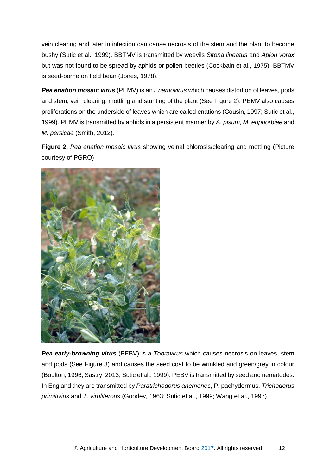vein clearing and later in infection can cause necrosis of the stem and the plant to become bushy (Sutic et al., 1999). BBTMV is transmitted by weevils *Sitona lineatus* and *Apion vorax* but was not found to be spread by aphids or pollen beetles (Cockbain et al., 1975). BBTMV is seed-borne on field bean (Jones, 1978).

*Pea enation mosaic virus* (PEMV) is an *Enamovirus* which causes distortion of leaves, pods and stem, vein clearing, mottling and stunting of the plant (See Figure 2). PEMV also causes proliferations on the underside of leaves which are called enations (Cousin, 1997; Sutic et al., 1999). PEMV is transmitted by aphids in a persistent manner by *A. pisum, M. euphorbiae* and *M. persicae* (Smith, 2012)*.* 

**Figure 2.** *Pea enation mosaic virus* showing veinal chlorosis/clearing and mottling (Picture courtesy of PGRO)



*Pea early-browning virus* (PEBV) is a *Tobravirus* which causes necrosis on leaves, stem and pods (See Figure 3) and causes the seed coat to be wrinkled and green/grey in colour (Boulton, 1996; Sastry, 2013; Sutic et al., 1999). PEBV is transmitted by seed and nematodes. In England they are transmitted by *Paratrichodorus anemones*, P. pachydermus, *Trichodorus primitivius* and *T. viruliferous* (Goodey, 1963; Sutic et al., 1999; Wang et al., 1997).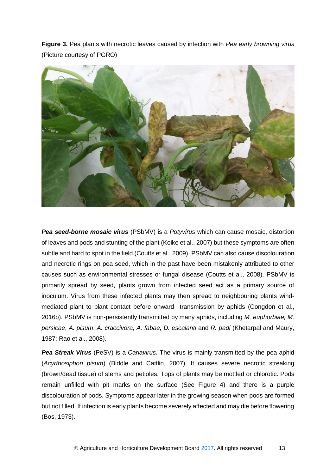**Figure 3.** Pea plants with necrotic leaves caused by infection with *Pea early browning virus* (Picture courtesy of PGRO)



*Pea seed-borne mosaic virus* (PSbMV) is a *Potyvirus* which can cause mosaic, distortion of leaves and pods and stunting of the plant (Koike et al., 2007) but these symptoms are often subtle and hard to spot in the field (Coutts et al., 2009). PSbMV can also cause discolouration and necrotic rings on pea seed, which in the past have been mistakenly attributed to other causes such as environmental stresses or fungal disease (Coutts et al., 2008). PSbMV is primarily spread by seed, plants grown from infected seed act as a primary source of inoculum. Virus from these infected plants may then spread to neighbouring plants windmediated plant to plant contact before onward transmission by aphids (Congdon et al., 2016b). PSbMV is non-persistently transmitted by many aphids, including *M. euphorbiae, M. persicae*, *A. pisum*, *A. craccivora, A. fabae, D. escalanti* and *R. padi* (Khetarpal and Maury, 1987; Rao et al., 2008).

**Pea Streak Virus** (PeSV) is a *Carlavirus*. The virus is mainly transmitted by the pea aphid (*Acyrthosiphon pisum*) (Biddle and Cattlin, 2007). It causes severe necrotic streaking (brown/dead tissue) of stems and petioles. Tops of plants may be mottled or chlorotic. Pods remain unfilled with pit marks on the surface (See Figure 4) and there is a purple discolouration of pods. Symptoms appear later in the growing season when pods are formed but not filled. If infection is early plants become severely affected and may die before flowering (Bos, 1973).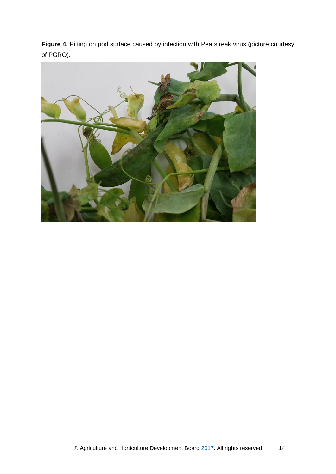Figure 4. Pitting on pod surface caused by infection with Pea streak virus (picture courtesy of PGRO).

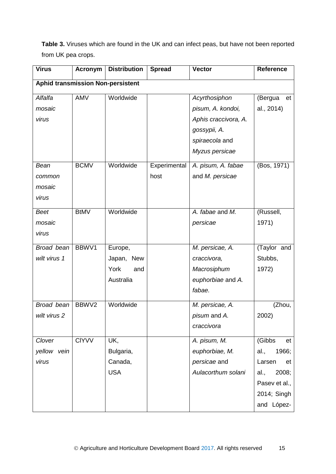**Table 3.** Viruses which are found in the UK and can infect peas, but have not been reported from UK pea crops.

| <b>Virus</b>                             | <b>Acronym</b> | <b>Distribution</b>  | <b>Spread</b> | <b>Vector</b>                 | <b>Reference</b> |
|------------------------------------------|----------------|----------------------|---------------|-------------------------------|------------------|
| <b>Aphid transmission Non-persistent</b> |                |                      |               |                               |                  |
| Alfalfa                                  | <b>AMV</b>     | Worldwide            |               | Acyrthosiphon                 | (Bergua<br>et    |
| mosaic                                   |                |                      |               | pisum, A. kondoi,             | al., 2014)       |
| virus                                    |                |                      |               | Aphis craccivora, A.          |                  |
|                                          |                |                      |               | gossypii, A.                  |                  |
|                                          |                |                      |               | spiraecola and                |                  |
|                                          |                |                      |               | Myzus persicae                |                  |
| Bean                                     | <b>BCMV</b>    | Worldwide            | Experimental  | A. pisum, A. fabae            | (Bos, 1971)      |
| common                                   |                |                      | host          | and M. persicae               |                  |
| mosaic                                   |                |                      |               |                               |                  |
| virus                                    |                |                      |               |                               |                  |
| <b>Beet</b>                              | <b>BtMV</b>    | Worldwide            |               | A. fabae and $\overline{M}$ . | (Russell,        |
| mosaic                                   |                |                      |               | persicae                      | 1971)            |
| virus                                    |                |                      |               |                               |                  |
| Broad bean                               | BBWV1          | Europe,              |               | M. persicae, A.               | (Taylor and      |
| wilt virus 1                             |                | Japan,<br><b>New</b> |               | craccivora,                   | Stubbs,          |
|                                          |                | York<br>and          |               | Macrosiphum                   | 1972)            |
|                                          |                | Australia            |               | euphorbiae and A.             |                  |
|                                          |                |                      |               | fabae.                        |                  |
| Broad bean                               | BBWV2          | Worldwide            |               | M. persicae, A.               | (Zhou,           |
| wilt virus 2                             |                |                      |               | pisum and A.                  | 2002)            |
|                                          |                |                      |               | craccivora                    |                  |
| Clover                                   | <b>CIYVV</b>   | UK,                  |               | A. pisum, M.                  | (Gibbs<br>et     |
| yellow vein                              |                | Bulgaria,            |               | euphorbiae, M.                | 1966;<br>al.,    |
| virus                                    |                | Canada,              |               | persicae and                  | Larsen<br>et     |
|                                          |                | <b>USA</b>           |               | Aulacorthum solani            | 2008;<br>al.,    |
|                                          |                |                      |               |                               | Pasev et al.,    |
|                                          |                |                      |               |                               | 2014; Singh      |
|                                          |                |                      |               |                               | and López-       |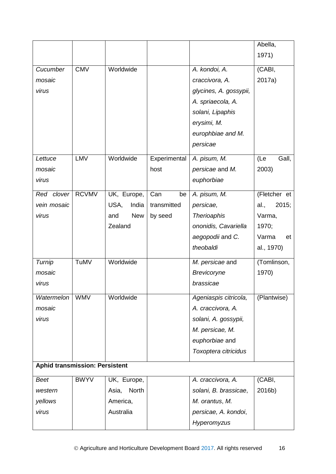|                                       |              |                   |              |                        | Abella,       |
|---------------------------------------|--------------|-------------------|--------------|------------------------|---------------|
|                                       |              |                   |              |                        | 1971)         |
| Cucumber                              | <b>CMV</b>   | Worldwide         |              | A. kondoi, A.          | (CABI,        |
| mosaic                                |              |                   |              | craccivora, A.         | 2017a)        |
| virus                                 |              |                   |              | glycines, A. gossypii, |               |
|                                       |              |                   |              | A. spriaecola, A.      |               |
|                                       |              |                   |              | solani, Lipaphis       |               |
|                                       |              |                   |              | erysimi, M.            |               |
|                                       |              |                   |              | europhbiae and M.      |               |
|                                       |              |                   |              | persicae               |               |
| Lettuce                               | LMV          | Worldwide         | Experimental | A. pisum, M.           | Gall,<br>(Le  |
| mosaic                                |              |                   | host         | persicae and M.        | 2003)         |
| virus                                 |              |                   |              | euphorbiae             |               |
| Red clover                            | <b>RCVMV</b> | UK, Europe,       | Can<br>be    | A. pisum, M.           | (Fletcher et  |
| vein mosaic                           |              | USA,<br>India     | transmitted  | persicae,              | 2015;<br>al., |
| virus                                 |              | <b>New</b><br>and | by seed      | <b>Therioaphis</b>     | Varma,        |
|                                       |              | Zealand           |              | ononidis, Cavariella   | 1970;         |
|                                       |              |                   |              | aegopodii and C.       | Varma<br>et   |
|                                       |              |                   |              | theobaldi              | al., 1970)    |
| Turnip                                | TuMV         | Worldwide         |              | M. persicae and        | (Tomlinson,   |
| mosaic                                |              |                   |              | Brevicoryne            | 1970)         |
| virus                                 |              |                   |              | brassicae              |               |
| Watermelon                            | <b>WMV</b>   | Worldwide         |              | Ageniaspis citricola,  | (Plantwise)   |
| mosaic                                |              |                   |              | A. craccivora, A.      |               |
| virus                                 |              |                   |              | solani, A. gossypii,   |               |
|                                       |              |                   |              | M. persicae, M.        |               |
|                                       |              |                   |              | euphorbiae and         |               |
|                                       |              |                   |              | Toxoptera citricidus   |               |
| <b>Aphid transmission: Persistent</b> |              |                   |              |                        |               |
| <b>Beet</b>                           | <b>BWYV</b>  | UK, Europe,       |              | A. craccivora, A.      | (CABI,        |
| western                               |              | North<br>Asia,    |              | solani, B. brassicae,  | 2016b)        |
| yellows                               |              | America,          |              | M. orantus, M.         |               |
| virus                                 |              | Australia         |              | persicae, A. kondoi,   |               |
|                                       |              |                   |              | Hyperomyzus            |               |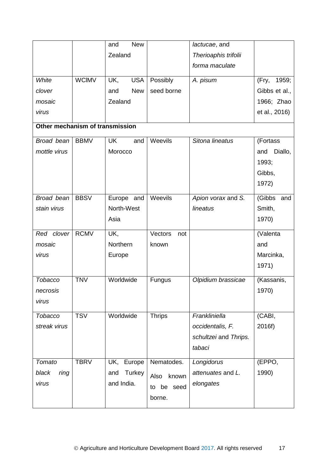|                                 |              | <b>New</b><br>and |                | lactucae, and         |                |
|---------------------------------|--------------|-------------------|----------------|-----------------------|----------------|
|                                 |              | Zealand           |                | Therioaphis trifolii  |                |
|                                 |              |                   |                | forma maculate        |                |
| White                           | <b>WCIMV</b> | UK,<br><b>USA</b> | Possibly       | A. pisum              | 1959;<br>(Fry, |
| clover                          |              | <b>New</b><br>and | seed borne     |                       | Gibbs et al.,  |
| mosaic                          |              | Zealand           |                |                       | 1966; Zhao     |
| virus                           |              |                   |                |                       | et al., 2016)  |
| Other mechanism of transmission |              |                   |                |                       |                |
|                                 |              |                   |                |                       |                |
| Broad bean                      | <b>BBMV</b>  | <b>UK</b><br>and  | Weevils        | Sitona lineatus       | (Fortass       |
| mottle virus                    |              | Morocco           |                |                       | Diallo,<br>and |
|                                 |              |                   |                |                       | 1993;          |
|                                 |              |                   |                |                       | Gibbs,         |
|                                 |              |                   |                |                       | 1972)          |
| Broad bean                      | <b>BBSV</b>  | Europe and        | Weevils        | Apion vorax and S.    | (Gibbs and     |
| stain virus                     |              | North-West        |                | lineatus              | Smith,         |
|                                 |              | Asia              |                |                       | 1970)          |
| Red clover                      | <b>RCMV</b>  | UK,               | Vectors<br>not |                       | (Valenta       |
| mosaic                          |              | Northern          | known          |                       | and            |
| virus                           |              | Europe            |                |                       | Marcinka,      |
|                                 |              |                   |                |                       | 1971)          |
| Tobacco                         | <b>TNV</b>   | Worldwide         | Fungus         | Olpidium brassicae    | (Kassanis,     |
| necrosis                        |              |                   |                |                       | 1970)          |
| virus                           |              |                   |                |                       |                |
| Tobacco                         | <b>TSV</b>   | Worldwide         | <b>Thrips</b>  | Frankliniella         | (CABI,         |
| streak virus                    |              |                   |                | occidentalis, F.      | 2016f)         |
|                                 |              |                   |                | schultzei and Thrips. |                |
|                                 |              |                   |                | tabaci                |                |
| Tomato                          | <b>TBRV</b>  | UK,<br>Europe     | Nematodes.     | Longidorus            | (EPPO,         |
| black<br>ring                   |              | Turkey<br>and     | Also<br>known  | attenuates and L.     | 1990)          |
| virus                           |              | and India.        | to be seed     | elongates             |                |
|                                 |              |                   | borne.         |                       |                |
|                                 |              |                   |                |                       |                |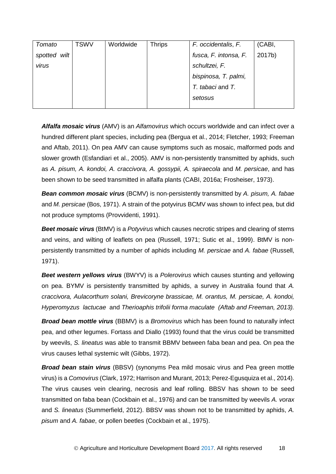| Tomato          | <b>TSWV</b> | Worldwide | <b>Thrips</b> | F. occidentalis, F.   | (CABI, |
|-----------------|-------------|-----------|---------------|-----------------------|--------|
| spotted<br>wilt |             |           |               | fusca, F. intonsa, F. | 2017b) |
| virus           |             |           |               | schultzei, F.         |        |
|                 |             |           |               | bispinosa, T. palmi,  |        |
|                 |             |           |               | T. tabaci and T.      |        |
|                 |             |           |               | setosus               |        |
|                 |             |           |               |                       |        |

*Alfalfa mosaic virus* (AMV) is an *Alfamovirus* which occurs worldwide and can infect over a hundred different plant species, including pea (Bergua et al., 2014; Fletcher, 1993; Freeman and Aftab, 2011). On pea AMV can cause symptoms such as mosaic, malformed pods and slower growth (Esfandiari et al., 2005). AMV is non-persistently transmitted by aphids, such as *A. pisum, A. kondoi, A. craccivora, A. gossypii, A. spiraecola* and *M. persicae*, and has been shown to be seed transmitted in alfalfa plants (CABI, 2016a; Frosheiser, 1973).

*Bean common mosaic virus* (BCMV) is non-persistently transmitted by *A. pisum, A. fabae*  and *M. persicae* (Bos, 1971). A strain of the potyvirus BCMV was shown to infect pea, but did not produce symptoms (Provvidenti, 1991).

*Beet mosaic virus* (BtMV) is a *Potyvirus* which causes necrotic stripes and clearing of stems and veins, and wilting of leaflets on pea (Russell, 1971; Sutic et al., 1999). BtMV is nonpersistently transmitted by a number of aphids including *M. persicae* and *A. fabae* (Russell, 1971).

*Beet western yellows virus* (BWYV) is a *Polerovirus* which causes stunting and yellowing on pea. BYMV is persistently transmitted by aphids, a survey in Australia found that *A. craccivora, Aulacorthum solani, Brevicoryne brassicae, M. orantus, M. persicae, A. kondoi, Hyperomyzus lactucae* and *Therioaphis trifolii forma maculate (Aftab and Freeman, 2013).*

*Broad bean mottle virus* (BBMV) is a *Bromovirus* which has been found to naturally infect pea, and other legumes. Fortass and Diallo (1993) found that the virus could be transmitted by weevils, *S. lineatus* was able to transmit BBMV between faba bean and pea. On pea the virus causes lethal systemic wilt (Gibbs, 1972).

*Broad bean stain virus* (BBSV) (synonyms Pea mild mosaic virus and Pea green mottle virus) is a *Comovirus* (Clark, 1972; Harrison and Murant, 2013; Perez-Egusquiza et al., 2014). The virus causes vein clearing, necrosis and leaf rolling. BBSV has shown to be seed transmitted on faba bean (Cockbain et al., 1976) and can be transmitted by weevils *A. vorax* and *S. lineatus* (Summerfield, 2012). BBSV was shown not to be transmitted by aphids, *A. pisum* and *A. fabae*, or pollen beetles (Cockbain et al., 1975).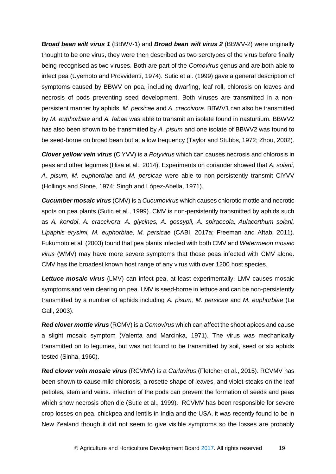*Broad bean wilt virus 1* (BBWV-1) and *Broad bean wilt virus 2* (BBWV-2) were originally thought to be one virus, they were then described as two serotypes of the virus before finally being recognised as two viruses. Both are part of the *Comovirus* genus and are both able to infect pea (Uyemoto and Provvidenti, 1974). Sutic et al*.* (1999) gave a general description of symptoms caused by BBWV on pea, including dwarfing, leaf roll, chlorosis on leaves and necrosis of pods preventing seed development. Both viruses are transmitted in a nonpersistent manner by aphids, *M. persicae* and *A. craccivora*. BBWV1 can also be transmitted by *M. euphorbiae* and *A. fabae* was able to transmit an isolate found in nasturtium. BBWV2 has also been shown to be transmitted by *A. pisum* and one isolate of BBWV2 was found to be seed-borne on broad bean but at a low frequency (Taylor and Stubbs, 1972; Zhou, 2002).

*Clover yellow vein virus* (ClYVV) is a *Potyvirus* which can causes necrosis and chlorosis in peas and other legumes (Hisa et al., 2014). Experiments on coriander showed that *A. solani, A. pisum*, *M. euphorbiae* and *M. persicae* were able to non-persistently transmit ClYVV (Hollings and Stone, 1974; Singh and López-Abella, 1971).

*Cucumber mosaic virus* (CMV) is a *Cucumovirus* which causes chlorotic mottle and necrotic spots on pea plants (Sutic et al., 1999). CMV is non-persistently transmitted by aphids such as *A. kondoi*, *A. craccivora*, *A. glycines, A. gossypii, A. spiraecola, Aulacorthum solani, Lipaphis erysimi, M. euphorbiae, M. persicae* (CABI, 2017a; Freeman and Aftab, 2011). Fukumoto et al. (2003) found that pea plants infected with both CMV and *Watermelon mosaic virus* (WMV) may have more severe symptoms that those peas infected with CMV alone. CMV has the broadest known host range of any virus with over 1200 host species.

*Lettuce mosaic virus* (LMV) can infect pea, at least experimentally. LMV causes mosaic symptoms and vein clearing on pea. LMV is seed-borne in lettuce and can be non-persistently transmitted by a number of aphids including *A. pisum, M. persicae* and *M. euphorbiae* (Le Gall, 2003).

*Red clover mottle virus* (RCMV) is a *Comovirus* which can affect the shoot apices and cause a slight mosaic symptom (Valenta and Marcinka, 1971). The virus was mechanically transmitted on to legumes, but was not found to be transmitted by soil, seed or six aphids tested (Sinha, 1960).

*Red clover vein mosaic virus* (RCVMV) is a *Carlavirus* (Fletcher et al., 2015). RCVMV has been shown to cause mild chlorosis, a rosette shape of leaves, and violet steaks on the leaf petioles, stem and veins. Infection of the pods can prevent the formation of seeds and peas which show necrosis often die (Sutic et al., 1999). RCVMV has been responsible for severe crop losses on pea, chickpea and lentils in India and the USA, it was recently found to be in New Zealand though it did not seem to give visible symptoms so the losses are probably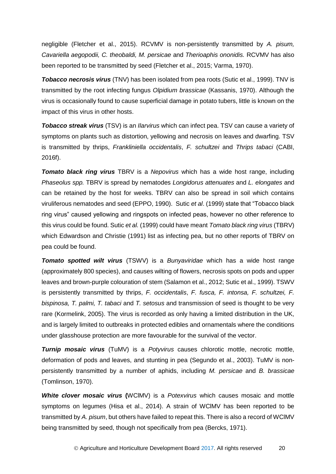negligible (Fletcher et al., 2015). RCVMV is non-persistently transmitted by *A. pisum, Cavariella aegopodii, C. theobaldi, M. persicae* and *Therioaphis ononidis.* RCVMV has also been reported to be transmitted by seed (Fletcher et al., 2015; Varma, 1970).

*Tobacco necrosis virus* (TNV) has been isolated from pea roots (Sutic et al., 1999). TNV is transmitted by the root infecting fungus *Olpidium brassicae* (Kassanis, 1970). Although the virus is occasionally found to cause superficial damage in potato tubers, little is known on the impact of this virus in other hosts.

*Tobacco streak virus* (TSV) is an *Ilarvirus* which can infect pea. TSV can cause a variety of symptoms on plants such as distortion, yellowing and necrosis on leaves and dwarfing. TSV is transmitted by thrips, *Frankliniella occidentalis*, *F. schultzei* and *Thrips tabaci* (CABI, 2016f).

*Tomato black ring virus* TBRV is a *Nepovirus* which has a wide host range, including *Phaseolus spp.* TBRV is spread by nematodes *Longidorus attenuates* and *L. elongates* and can be retained by the host for weeks. TBRV can also be spread in soil which contains viruliferous nematodes and seed (EPPO, 1990). Sutic *et al*. (1999) state that "Tobacco black ring virus" caused yellowing and ringspots on infected peas, however no other reference to this virus could be found. Sutic *et al.* (1999) could have meant *Tomato black ring virus* (TBRV) which Edwardson and Christie (1991) list as infecting pea, but no other reports of TBRV on pea could be found.

*Tomato spotted wilt virus* (TSWV) is a *Bunyaviridae* which has a wide host range (approximately 800 species), and causes wilting of flowers, necrosis spots on pods and upper leaves and brown-purple colouration of stem (Salamon et al., 2012; Sutic et al., 1999). TSWV is persistently transmitted by thrips, *F. occidentalis*, *F. fusca, F. intonsa, F. schultzei, F. bispinosa, T. palmi, T. tabaci* and *T. setosus* and transmission of seed is thought to be very rare (Kormelink, 2005). The virus is recorded as only having a limited distribution in the UK, and is largely limited to outbreaks in protected edibles and ornamentals where the conditions under glasshouse protection are more favourable for the survival of the vector.

*Turnip mosaic virus* (TuMV) is a *Potyvirus* causes chlorotic mottle, necrotic mottle, deformation of pods and leaves, and stunting in pea (Segundo et al., 2003). TuMV is nonpersistently transmitted by a number of aphids, including *M. persicae* and *B. brassicae* (Tomlinson, 1970).

*White clover mosaic virus* **(**WClMV) is a *Potexvirus* which causes mosaic and mottle symptoms on legumes (Hisa et al., 2014). A strain of WClMV has been reported to be transmitted by *A. pisum*, but others have failed to repeat this. There is also a record of WClMV being transmitted by seed, though not specifically from pea (Bercks, 1971).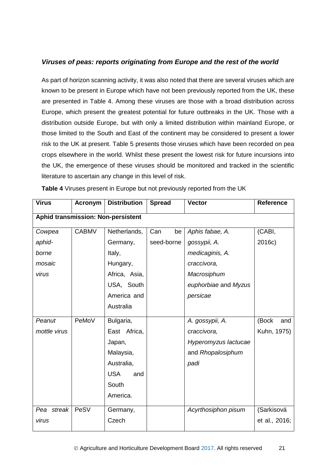### *Viruses of peas: reports originating from Europe and the rest of the world*

As part of horizon scanning activity, it was also noted that there are several viruses which are known to be present in Europe which have not been previously reported from the UK, these are presented in Table 4. Among these viruses are those with a broad distribution across Europe, which present the greatest potential for future outbreaks in the UK. Those with a distribution outside Europe, but with only a limited distribution within mainland Europe, or those limited to the South and East of the continent may be considered to present a lower risk to the UK at present. Table 5 presents those viruses which have been recorded on pea crops elsewhere in the world. Whilst these present the lowest risk for future incursions into the UK, the emergence of these viruses should be monitored and tracked in the scientific literature to ascertain any change in this level of risk.

| <b>Virus</b> | <b>Acronym</b> | <b>Distribution</b>                | <b>Spread</b> | <b>Vector</b>        | <b>Reference</b> |
|--------------|----------------|------------------------------------|---------------|----------------------|------------------|
|              |                | Aphid transmission: Non-persistent |               |                      |                  |
| Cowpea       | <b>CABMV</b>   | Netherlands,                       | Can<br>be     | Aphis fabae, A.      | (CABI,           |
| aphid-       |                | Germany,                           | seed-borne    | gossypii, A.         | 2016c)           |
| borne        |                | Italy,                             |               | medicaginis, A.      |                  |
| mosaic       |                | Hungary,                           |               | craccivora,          |                  |
| virus        |                | Africa, Asia,                      |               | Macrosiphum          |                  |
|              |                | USA, South                         |               | euphorbiae and Myzus |                  |
|              |                | America and                        |               | persicae             |                  |
|              |                | Australia                          |               |                      |                  |
| Peanut       | PeMoV          | Bulgaria,                          |               | A. gossypii, A.      | (Bock<br>and     |
| mottle virus |                | East Africa,                       |               | craccivora,          | Kuhn, 1975)      |
|              |                | Japan,                             |               | Hyperomyzus lactucae |                  |
|              |                | Malaysia,                          |               | and Rhopalosiphum    |                  |
|              |                | Australia,                         |               | padi                 |                  |
|              |                | <b>USA</b><br>and                  |               |                      |                  |
|              |                | South                              |               |                      |                  |
|              |                | America.                           |               |                      |                  |
| Pea streak   | PeSV           | Germany,                           |               | Acyrthosiphon pisum  | (Sarkisová       |
| virus        |                | Czech                              |               |                      | et al., 2016;    |

**Table 4** Viruses present in Europe but not previously reported from the UK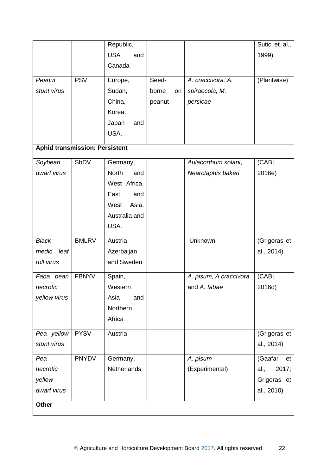|                                       |              | Republic,           |        |    |                        | Sutic et al., |
|---------------------------------------|--------------|---------------------|--------|----|------------------------|---------------|
|                                       |              | <b>USA</b><br>and   |        |    |                        | 1999)         |
|                                       |              | Canada              |        |    |                        |               |
| Peanut                                | <b>PSV</b>   | Europe,             | Seed-  |    | A. craccivora, A.      | (Plantwise)   |
| stunt virus                           |              | Sudan,              |        |    |                        |               |
|                                       |              |                     | borne  | on | spiraecola, M.         |               |
|                                       |              | China,              | peanut |    | persicae               |               |
|                                       |              | Korea,              |        |    |                        |               |
|                                       |              | Japan<br>and        |        |    |                        |               |
|                                       |              | USA.                |        |    |                        |               |
| <b>Aphid transmission: Persistent</b> |              |                     |        |    |                        |               |
| Soybean                               | SbDV         | Germany,            |        |    | Aulacorthum solani,    | (CABI,        |
| dwarf virus                           |              | <b>North</b><br>and |        |    | Nearctaphis bakeri     | 2016e)        |
|                                       |              | West Africa,        |        |    |                        |               |
|                                       |              | East<br>and         |        |    |                        |               |
|                                       |              | West<br>Asia,       |        |    |                        |               |
|                                       |              | Australia and       |        |    |                        |               |
|                                       |              | USA.                |        |    |                        |               |
|                                       |              |                     |        |    |                        |               |
| <b>Black</b>                          | <b>BMLRV</b> | Austria,            |        |    | Unknown                | (Grigoras et  |
| medic<br>leaf                         |              | Azerbaijan          |        |    |                        | al., 2014)    |
| roll virus                            |              | and Sweden          |        |    |                        |               |
| Faba bean                             | <b>FBNYV</b> | Spain,              |        |    | A. pisum, A craccivora | (CABI,        |
| necrotic                              |              | Western             |        |    | and A. fabae           | 2016d)        |
| yellow virus                          |              | Asia<br>and         |        |    |                        |               |
|                                       |              | Northern            |        |    |                        |               |
|                                       |              | Africa              |        |    |                        |               |
|                                       |              |                     |        |    |                        |               |
| Pea yellow                            | <b>PYSV</b>  | Austria             |        |    |                        | (Grigoras et  |
| stunt virus                           |              |                     |        |    |                        | al., 2014)    |
| Pea                                   | <b>PNYDV</b> | Germany,            |        |    | A. pisum               | (Gaafar<br>et |
| necrotic                              |              | <b>Netherlands</b>  |        |    | (Experimental)         | 2017;<br>al., |
| yellow                                |              |                     |        |    |                        | Grigoras et   |
| dwarf virus                           |              |                     |        |    |                        | al., 2010)    |
| <b>Other</b>                          |              |                     |        |    |                        |               |
|                                       |              |                     |        |    |                        |               |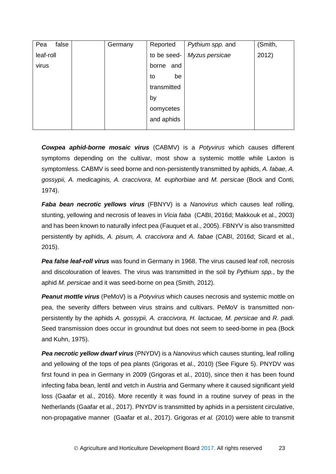| false<br>Pea | Germany | Reported     | Pythium spp. and | (Smith, |
|--------------|---------|--------------|------------------|---------|
| leaf-roll    |         | to be seed-  | Myzus persicae   | 2012)   |
| virus        |         | borne<br>and |                  |         |
|              |         | be<br>to     |                  |         |
|              |         | transmitted  |                  |         |
|              |         | by           |                  |         |
|              |         | oomycetes    |                  |         |
|              |         | and aphids   |                  |         |
|              |         |              |                  |         |

*Cowpea aphid-borne mosaic virus* (CABMV) is a *Potyvirus* which causes different symptoms depending on the cultivar, most show a systemic mottle while Laxton is symptomless. CABMV is seed borne and non-persistently transmitted by aphids, *A. fabae, A. gossypii, A. medicaginis, A. craccivora*, *M. euphorbiae* and *M. persicae* (Bock and Conti, 1974).

*Faba bean necrotic yellows virus* (FBNYV) is a *Nanovirus* which causes leaf rolling, stunting, yellowing and necrosis of leaves in *Vicia faba* (CABI, 2016d; Makkouk et al., 2003) and has been known to naturally infect pea (Fauquet et al., 2005). FBNYV is also transmitted persistently by aphids, *A. pisum, A. craccivora* and *A. fabae* (CABI, 2016d; Sicard et al., 2015).

*Pea false leaf-roll virus* was found in Germany in 1968. The virus caused leaf roll, necrosis and discolouration of leaves. The virus was transmitted in the soil by *Pythium spp.*, by the aphid *M. persicae* and it was seed-borne on pea (Smith, 2012).

*Peanut mottle virus* (PeMoV) is a *Potyvirus* which causes necrosis and systemic mottle on pea, the severity differs between virus strains and cultivars. PeMoV is transmitted nonpersistently by the aphids *A. gossypii, A. craccivora, H. lactucae, M. persicae* and *R. padi*. Seed transmission does occur in groundnut but does not seem to seed-borne in pea (Bock and Kuhn, 1975).

*Pea necrotic yellow dwarf virus* (PNYDV) is a *Nanovirus* which causes stunting, leaf rolling and yellowing of the tops of pea plants (Grigoras et al., 2010) (See Figure 5). PNYDV was first found in pea in Germany in 2009 (Grigoras et al., 2010), since then it has been found infecting faba bean, lentil and vetch in Austria and Germany where it caused significant yield loss (Gaafar et al., 2016). More recently it was found in a routine survey of peas in the Netherlands (Gaafar et al., 2017). PNYDV is transmitted by aphids in a persistent circulative, non-propagative manner (Gaafar et al., 2017). Grigoras *et al.* (2010) were able to transmit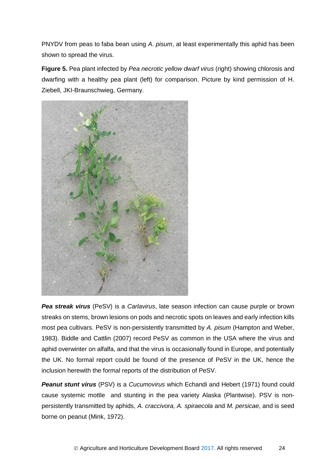PNYDV from peas to faba bean using *A. pisum*, at least experimentally this aphid has been shown to spread the virus.

**Figure 5.** Pea plant infected by *Pea necrotic yellow dwarf virus* (right) showing chlorosis and dwarfing with a healthy pea plant (left) for comparison. Picture by kind permission of H. Ziebell, JKI-Braunschwieg, Germany.



*Pea streak virus* (PeSV) is a *Carlavirus*, late season infection can cause purple or brown streaks on stems, brown lesions on pods and necrotic spots on leaves and early infection kills most pea cultivars. PeSV is non-persistently transmitted by *A. pisum* (Hampton and Weber, 1983). Biddle and Cattlin (2007) record PeSV as common in the USA where the virus and aphid overwinter on alfalfa, and that the virus is occasionally found in Europe, and potentially the UK. No formal report could be found of the presence of PeSV in the UK, hence the inclusion herewith the formal reports of the distribution of PeSV.

*Peanut stunt virus* (PSV) is a *Cucumovirus* which Echandi and Hebert (1971) found could cause systemic mottle and stunting in the pea variety Alaska (Plantwise). PSV is nonpersistently transmitted by aphids, *A. craccivora, A. spiraecola* and *M. persicae*, and is seed borne on peanut (Mink, 1972).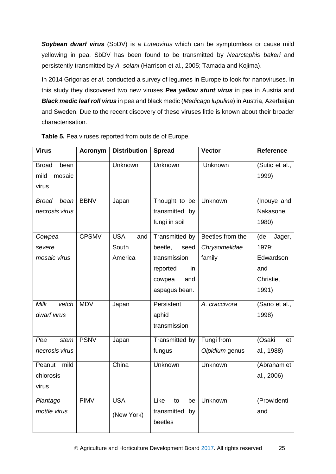*Soybean dwarf virus* (SbDV) is a *Luteovirus* which can be symptomless or cause mild yellowing in pea. SbDV has been found to be transmitted by *Nearctaphis bakeri* and persistently transmitted by *A. solani* (Harrison et al., 2005; Tamada and Kojima).

In 2014 Grigorias *et al.* conducted a survey of legumes in Europe to look for nanoviruses. In this study they discovered two new viruses *Pea yellow stunt virus* in pea in Austria and *Black medic leaf roll virus* in pea and black medic (*Medicago lupulina*) in Austria, Azerbaijan and Sweden. Due to the recent discovery of these viruses little is known about their broader characterisation.

| <b>Virus</b>         | <b>Acronym</b> | <b>Distribution</b> | <b>Spread</b>     | <b>Vector</b>    | <b>Reference</b> |
|----------------------|----------------|---------------------|-------------------|------------------|------------------|
| <b>Broad</b><br>bean |                | Unknown             | Unknown           | Unknown          | (Sutic et al.,   |
| mild<br>mosaic       |                |                     |                   |                  | 1999)            |
| virus                |                |                     |                   |                  |                  |
| <b>Broad</b><br>bean | <b>BBNV</b>    | Japan               | Thought to be     | Unknown          | (Inouye and      |
| necrosis virus       |                |                     | transmitted by    |                  | Nakasone,        |
|                      |                |                     | fungi in soil     |                  | 1980)            |
| Cowpea               | <b>CPSMV</b>   | <b>USA</b><br>and   | Transmitted by    | Beetles from the | (de<br>Jager,    |
| severe               |                | South               | beetle,<br>seed   | Chrysomelidae    | 1979;            |
| mosaic virus         |                | America             | transmission      | family           | Edwardson        |
|                      |                |                     | reported<br>in    |                  | and              |
|                      |                |                     | cowpea<br>and     |                  | Christie,        |
|                      |                |                     | aspagus bean.     |                  | 1991)            |
| Milk<br>vetch        | <b>MDV</b>     | Japan               | Persistent        | A. craccivora    | (Sano et al.,    |
| dwarf virus          |                |                     | aphid             |                  | 1998)            |
|                      |                |                     | transmission      |                  |                  |
| Pea<br>stem          | <b>PSNV</b>    | Japan               | Transmitted by    | Fungi from       | (Osaki<br>et     |
| necrosis virus       |                |                     | fungus            | Olpidium genus   | al., 1988)       |
| mild<br>Peanut       |                | China               | <b>Unknown</b>    | <b>Unknown</b>   | (Abraham et      |
| chlorosis            |                |                     |                   |                  | al., 2006)       |
| virus                |                |                     |                   |                  |                  |
| Plantago             | <b>PIMV</b>    | <b>USA</b>          | Like<br>to<br>be  | <b>Unknown</b>   | (Prowidenti      |
| mottle virus         |                | (New York)          | transmitted<br>by |                  | and              |
|                      |                |                     | beetles           |                  |                  |

**Table 5.** Pea viruses reported from outside of Europe.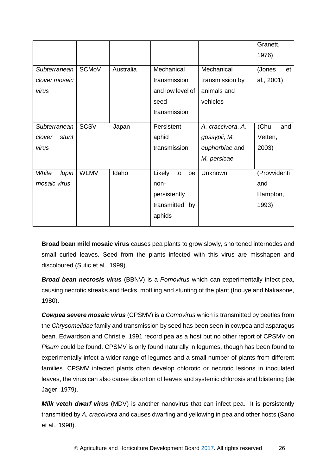|                 |              |           |                    |                   | Granett,     |
|-----------------|--------------|-----------|--------------------|-------------------|--------------|
|                 |              |           |                    |                   | 1976)        |
| Subterranean    | <b>SCMoV</b> | Australia | Mechanical         | Mechanical        | (Jones<br>et |
| clover mosaic   |              |           | transmission       | transmission by   | al., 2001)   |
| virus           |              |           | and low level of   | animals and       |              |
|                 |              |           | seed               | vehicles          |              |
|                 |              |           | transmission       |                   |              |
| Subterranean    | <b>SCSV</b>  | Japan     | Persistent         | A. craccivora, A. | (Chu<br>and  |
| clover<br>stunt |              |           | aphid              | gossypii, M.      | Vetten,      |
| virus           |              |           | transmission       | euphorbiae and    | 2003)        |
|                 |              |           |                    | M. persicae       |              |
| White<br>lupin  | <b>WLMV</b>  | Idaho     | Likely<br>to<br>be | Unknown           | (Provvidenti |
| mosaic virus    |              |           | non-               |                   | and          |
|                 |              |           | persistently       |                   | Hampton,     |
|                 |              |           | transmitted by     |                   | 1993)        |
|                 |              |           | aphids             |                   |              |
|                 |              |           |                    |                   |              |

**Broad bean mild mosaic virus** causes pea plants to grow slowly, shortened internodes and small curled leaves. Seed from the plants infected with this virus are misshapen and discoloured (Sutic et al., 1999).

*Broad bean necrosis virus* (BBNV) is a *Pomovirus* which can experimentally infect pea, causing necrotic streaks and flecks, mottling and stunting of the plant (Inouye and Nakasone, 1980).

*Cowpea severe mosaic virus* (CPSMV) is a *Comovirus* which is transmitted by beetles from the *Chrysomelidae* family and transmission by seed has been seen in cowpea and asparagus bean. Edwardson and Christie, 1991 record pea as a host but no other report of CPSMV on *Pisum* could be found. CPSMV is only found naturally in legumes, though has been found to experimentally infect a wider range of legumes and a small number of plants from different families. CPSMV infected plants often develop chlorotic or necrotic lesions in inoculated leaves, the virus can also cause distortion of leaves and systemic chlorosis and blistering (de Jager, 1979).

*Milk vetch dwarf virus* (MDV) is another nanovirus that can infect pea. It is persistently transmitted by *A. craccivora* and causes dwarfing and yellowing in pea and other hosts (Sano et al., 1998).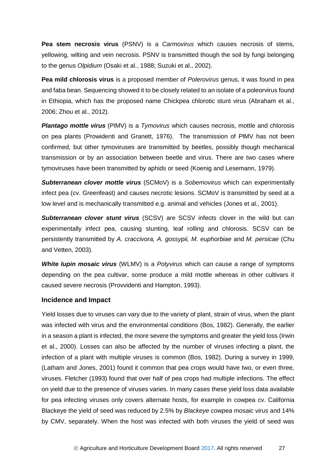**Pea stem necrosis virus** (PSNV) is a *Carmovirus* which causes necrosis of stems, yellowing, wilting and vein necrosis. PSNV is transmitted though the soil by fungi belonging to the genus *Olpidium* (Osaki et al., 1988; Suzuki et al., 2002).

**Pea mild chlorosis virus** is a proposed member of *Polerovirus* genus, it was found in pea and faba bean. Sequencing showed it to be closely related to an isolate of a poleorvirus found in Ethiopia, which has the proposed name Chickpea chlorotic stunt virus (Abraham et al., 2006; Zhou et al., 2012).

*Plantago mottle virus* (PlMV) is a *Tymovirus* which causes necrosis, mottle and chlorosis on pea plants (Prowidenti and Granett, 1976). The transmission of PlMV has not been confirmed, but other tymoviruses are transmitted by beetles, possibly though mechanical transmission or by an association between beetle and virus. There are two cases where tymoviruses have been transmitted by aphids or seed (Koenig and Lesemann, 1979).

*Subterranean clover mottle virus* (SCMoV) is a *Sobemovirus* which can experimentally infect pea (cv. Greenfeast) and causes necrotic lesions. SCMoV is transmitted by seed at a low level and is mechanically transmitted e.g. animal and vehicles (Jones et al., 2001).

*Subterranean clover stunt virus* (SCSV) are SCSV infects clover in the wild but can experimentally infect pea, causing stunting, leaf rolling and chlorosis. SCSV can be persistently transmitted by *A. craccivora, A. gossypii, M. euphorbiae* and *M. persicae* (Chu and Vetten, 2003).

*White lupin mosaic virus* (WLMV) is a *Potyvirus* which can cause a range of symptoms depending on the pea cultivar, some produce a mild mottle whereas in other cultivars it caused severe necrosis (Provvidenti and Hampton, 1993).

#### **Incidence and Impact**

Yield losses due to viruses can vary due to the variety of plant, strain of virus, when the plant was infected with virus and the environmental conditions (Bos, 1982). Generally, the earlier in a season a plant is infected, the more severe the symptoms and greater the yield loss (Irwin et al., 2000). Losses can also be affected by the number of viruses infecting a plant, the infection of a plant with multiple viruses is common (Bos, 1982). During a survey in 1999, (Latham and Jones, 2001) found it common that pea crops would have two, or even three, viruses. Fletcher (1993) found that over half of pea crops had multiple infections. The effect on yield due to the presence of viruses varies. In many cases these yield loss data available for pea infecting viruses only covers alternate hosts, for example in cowpea cv. California Blackeye the yield of seed was reduced by 2.5% by *Blackeye cowpea mosaic virus* and 14% by CMV, separately. When the host was infected with both viruses the yield of seed was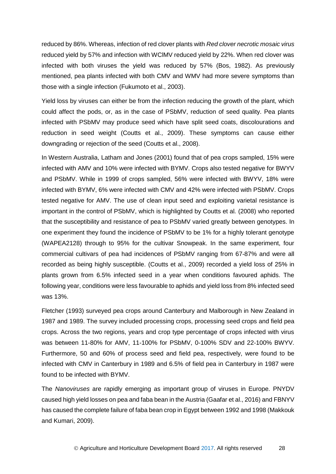reduced by 86%. Whereas, infection of red clover plants with *Red clover necrotic mosaic virus* reduced yield by 57% and infection with WClMV reduced yield by 22%. When red clover was infected with both viruses the yield was reduced by 57% (Bos, 1982). As previously mentioned, pea plants infected with both CMV and WMV had more severe symptoms than those with a single infection (Fukumoto et al., 2003).

Yield loss by viruses can either be from the infection reducing the growth of the plant, which could affect the pods, or, as in the case of PSbMV, reduction of seed quality. Pea plants infected with PSbMV may produce seed which have split seed coats, discolourations and reduction in seed weight (Coutts et al., 2009). These symptoms can cause either downgrading or rejection of the seed (Coutts et al., 2008).

In Western Australia, Latham and Jones (2001) found that of pea crops sampled, 15% were infected with AMV and 10% were infected with BYMV. Crops also tested negative for BWYV and PSbMV. While in 1999 of crops sampled, 56% were infected with BWYV, 18% were infected with BYMV, 6% were infected with CMV and 42% were infected with PSbMV. Crops tested negative for AMV. The use of clean input seed and exploiting varietal resistance is important in the control of PSbMV, which is highlighted by Coutts et al*.* (2008) who reported that the susceptibility and resistance of pea to PSbMV varied greatly between genotypes. In one experiment they found the incidence of PSbMV to be 1% for a highly tolerant genotype (WAPEA2128) through to 95% for the cultivar Snowpeak. In the same experiment, four commercial cultivars of pea had incidences of PSbMV ranging from 67-87% and were all recorded as being highly susceptible. (Coutts et al., 2009) recorded a yield loss of 25% in plants grown from 6.5% infected seed in a year when conditions favoured aphids. The following year, conditions were less favourable to aphids and yield loss from 8% infected seed was 13%.

Fletcher (1993) surveyed pea crops around Canterbury and Malborough in New Zealand in 1987 and 1989. The survey included processing crops, processing seed crops and field pea crops. Across the two regions, years and crop type percentage of crops infected with virus was between 11-80% for AMV, 11-100% for PSbMV, 0-100% SDV and 22-100% BWYV. Furthermore, 50 and 60% of process seed and field pea, respectively, were found to be infected with CMV in Canterbury in 1989 and 6.5% of field pea in Canterbury in 1987 were found to be infected with BYMV.

The *Nanoviruses* are rapidly emerging as important group of viruses in Europe. PNYDV caused high yield losses on pea and faba bean in the Austria (Gaafar et al., 2016) and FBNYV has caused the complete failure of faba bean crop in Egypt between 1992 and 1998 (Makkouk and Kumari, 2009).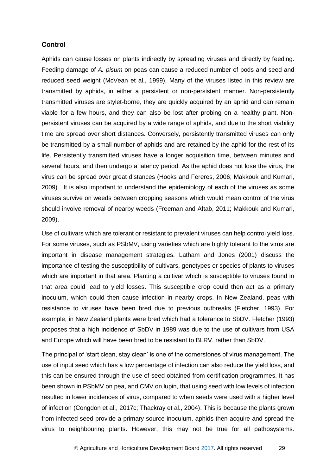#### **Control**

Aphids can cause losses on plants indirectly by spreading viruses and directly by feeding. Feeding damage of *A. pisum* on peas can cause a reduced number of pods and seed and reduced seed weight (McVean et al., 1999). Many of the viruses listed in this review are transmitted by aphids, in either a persistent or non-persistent manner. Non-persistently transmitted viruses are stylet-borne, they are quickly acquired by an aphid and can remain viable for a few hours, and they can also be lost after probing on a healthy plant. Nonpersistent viruses can be acquired by a wide range of aphids, and due to the short viability time are spread over short distances. Conversely, persistently transmitted viruses can only be transmitted by a small number of aphids and are retained by the aphid for the rest of its life. Persistently transmitted viruses have a longer acquisition time, between minutes and several hours, and then undergo a latency period. As the aphid does not lose the virus, the virus can be spread over great distances (Hooks and Fereres, 2006; Makkouk and Kumari, 2009). It is also important to understand the epidemiology of each of the viruses as some viruses survive on weeds between cropping seasons which would mean control of the virus should involve removal of nearby weeds (Freeman and Aftab, 2011; Makkouk and Kumari, 2009).

Use of cultivars which are tolerant or resistant to prevalent viruses can help control yield loss. For some viruses, such as PSbMV, using varieties which are highly tolerant to the virus are important in disease management strategies. Latham and Jones (2001) discuss the importance of testing the susceptibility of cultivars, genotypes or species of plants to viruses which are important in that area. Planting a cultivar which is susceptible to viruses found in that area could lead to yield losses. This susceptible crop could then act as a primary inoculum, which could then cause infection in nearby crops. In New Zealand, peas with resistance to viruses have been bred due to previous outbreaks (Fletcher, 1993). For example, in New Zealand plants were bred which had a tolerance to SbDV. Fletcher (1993) proposes that a high incidence of SbDV in 1989 was due to the use of cultivars from USA and Europe which will have been bred to be resistant to BLRV, rather than SbDV.

The principal of 'start clean, stay clean' is one of the cornerstones of virus management. The use of input seed which has a low percentage of infection can also reduce the yield loss, and this can be ensured through the use of seed obtained from certification programmes. It has been shown in PSbMV on pea, and CMV on lupin, that using seed with low levels of infection resulted in lower incidences of virus, compared to when seeds were used with a higher level of infection (Congdon et al., 2017c; Thackray et al., 2004). This is because the plants grown from infected seed provide a primary source inoculum, aphids then acquire and spread the virus to neighbouring plants. However, this may not be true for all pathosystems.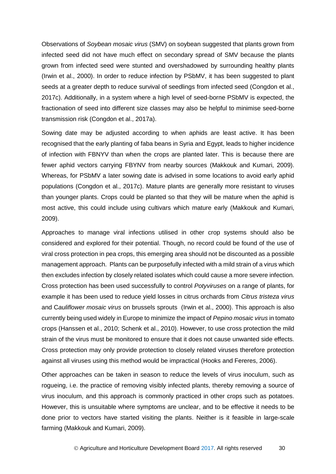Observations of *Soybean mosaic virus* (SMV) on soybean suggested that plants grown from infected seed did not have much effect on secondary spread of SMV because the plants grown from infected seed were stunted and overshadowed by surrounding healthy plants (Irwin et al., 2000). In order to reduce infection by PSbMV, it has been suggested to plant seeds at a greater depth to reduce survival of seedlings from infected seed (Congdon et al., 2017c). Additionally, in a system where a high level of seed-borne PSbMV is expected, the fractionation of seed into different size classes may also be helpful to minimise seed-borne transmission risk (Congdon et al., 2017a).

Sowing date may be adjusted according to when aphids are least active. It has been recognised that the early planting of faba beans in Syria and Egypt, leads to higher incidence of infection with FBNYV than when the crops are planted later. This is because there are fewer aphid vectors carrying FBYNV from nearby sources (Makkouk and Kumari, 2009). Whereas, for PSbMV a later sowing date is advised in some locations to avoid early aphid populations (Congdon et al., 2017c). Mature plants are generally more resistant to viruses than younger plants. Crops could be planted so that they will be mature when the aphid is most active, this could include using cultivars which mature early (Makkouk and Kumari, 2009).

Approaches to manage viral infections utilised in other crop systems should also be considered and explored for their potential. Though, no record could be found of the use of viral cross protection in pea crops, this emerging area should not be discounted as a possible management approach. Plants can be purposefully infected with a mild strain of a virus which then excludes infection by closely related isolates which could cause a more severe infection. Cross protection has been used successfully to control *Potyviruses* on a range of plants, for example it has been used to reduce yield losses in citrus orchards from *Citrus tristeza virus* and C*auliflower mosaic virus* on brussels sprouts (Irwin et al., 2000). This approach is also currently being used widely in Europe to minimize the impact of *Pepino mosaic virus* in tomato crops (Hanssen et al., 2010; Schenk et al., 2010). However, to use cross protection the mild strain of the virus must be monitored to ensure that it does not cause unwanted side effects. Cross protection may only provide protection to closely related viruses therefore protection against all viruses using this method would be impractical (Hooks and Fereres, 2006).

Other approaches can be taken in season to reduce the levels of virus inoculum, such as rogueing, i.e. the practice of removing visibly infected plants, thereby removing a source of virus inoculum, and this approach is commonly practiced in other crops such as potatoes. However, this is unsuitable where symptoms are unclear, and to be effective it needs to be done prior to vectors have started visiting the plants. Neither is it feasible in large-scale farming (Makkouk and Kumari, 2009).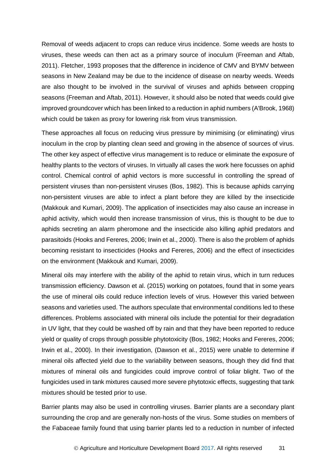Removal of weeds adjacent to crops can reduce virus incidence. Some weeds are hosts to viruses, these weeds can then act as a primary source of inoculum (Freeman and Aftab, 2011). Fletcher, 1993 proposes that the difference in incidence of CMV and BYMV between seasons in New Zealand may be due to the incidence of disease on nearby weeds. Weeds are also thought to be involved in the survival of viruses and aphids between cropping seasons (Freeman and Aftab, 2011). However, it should also be noted that weeds could give improved groundcover which has been linked to a reduction in aphid numbers (A'Brook, 1968) which could be taken as proxy for lowering risk from virus transmission.

These approaches all focus on reducing virus pressure by minimising (or eliminating) virus inoculum in the crop by planting clean seed and growing in the absence of sources of virus. The other key aspect of effective virus management is to reduce or eliminate the exposure of healthy plants to the vectors of viruses. In virtually all cases the work here focusses on aphid control. Chemical control of aphid vectors is more successful in controlling the spread of persistent viruses than non-persistent viruses (Bos, 1982). This is because aphids carrying non-persistent viruses are able to infect a plant before they are killed by the insecticide (Makkouk and Kumari, 2009). The application of insecticides may also cause an increase in aphid activity, which would then increase transmission of virus, this is thought to be due to aphids secreting an alarm pheromone and the insecticide also killing aphid predators and parasitoids (Hooks and Fereres, 2006; Irwin et al., 2000). There is also the problem of aphids becoming resistant to insecticides (Hooks and Fereres, 2006) and the effect of insecticides on the environment (Makkouk and Kumari, 2009).

Mineral oils may interfere with the ability of the aphid to retain virus, which in turn reduces transmission efficiency. Dawson et al. (2015) working on potatoes, found that in some years the use of mineral oils could reduce infection levels of virus. However this varied between seasons and varieties used. The authors speculate that environmental conditions led to these differences. Problems associated with mineral oils include the potential for their degradation in UV light, that they could be washed off by rain and that they have been reported to reduce yield or quality of crops through possible phytotoxicity (Bos, 1982; Hooks and Fereres, 2006; Irwin et al., 2000). In their investigation, (Dawson et al., 2015) were unable to determine if mineral oils affected yield due to the variability between seasons, though they did find that mixtures of mineral oils and fungicides could improve control of foliar blight. Two of the fungicides used in tank mixtures caused more severe phytotoxic effects, suggesting that tank mixtures should be tested prior to use.

Barrier plants may also be used in controlling viruses. Barrier plants are a secondary plant surrounding the crop and are generally non-hosts of the virus. Some studies on members of the Fabaceae family found that using barrier plants led to a reduction in number of infected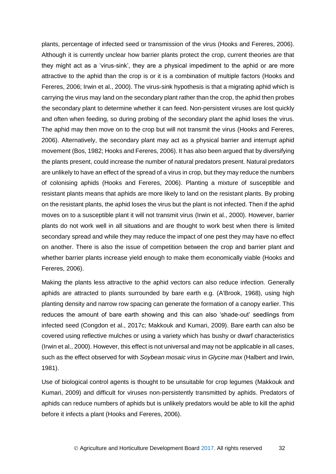plants, percentage of infected seed or transmission of the virus (Hooks and Fereres, 2006). Although it is currently unclear how barrier plants protect the crop, current theories are that they might act as a 'virus-sink', they are a physical impediment to the aphid or are more attractive to the aphid than the crop is or it is a combination of multiple factors (Hooks and Fereres, 2006; Irwin et al., 2000). The virus-sink hypothesis is that a migrating aphid which is carrying the virus may land on the secondary plant rather than the crop, the aphid then probes the secondary plant to determine whether it can feed. Non-persistent viruses are lost quickly and often when feeding, so during probing of the secondary plant the aphid loses the virus. The aphid may then move on to the crop but will not transmit the virus (Hooks and Fereres, 2006). Alternatively, the secondary plant may act as a physical barrier and interrupt aphid movement (Bos, 1982; Hooks and Fereres, 2006). It has also been argued that by diversifying the plants present, could increase the number of natural predators present. Natural predators are unlikely to have an effect of the spread of a virus in crop, but they may reduce the numbers of colonising aphids (Hooks and Fereres, 2006). Planting a mixture of susceptible and resistant plants means that aphids are more likely to land on the resistant plants. By probing on the resistant plants, the aphid loses the virus but the plant is not infected. Then if the aphid moves on to a susceptible plant it will not transmit virus (Irwin et al., 2000). However, barrier plants do not work well in all situations and are thought to work best when there is limited secondary spread and while they may reduce the impact of one pest they may have no effect on another. There is also the issue of competition between the crop and barrier plant and whether barrier plants increase yield enough to make them economically viable (Hooks and Fereres, 2006).

Making the plants less attractive to the aphid vectors can also reduce infection. Generally aphids are attracted to plants surrounded by bare earth e.g. (A'Brook, 1968), using high planting density and narrow row spacing can generate the formation of a canopy earlier. This reduces the amount of bare earth showing and this can also 'shade-out' seedlings from infected seed (Congdon et al., 2017c; Makkouk and Kumari, 2009). Bare earth can also be covered using reflective mulches or using a variety which has bushy or dwarf characteristics (Irwin et al., 2000). However, this effect is not universal and may not be applicable in all cases, such as the effect observed for with *Soybean mosaic virus* in *Glycine max* (Halbert and Irwin, 1981).

Use of biological control agents is thought to be unsuitable for crop legumes (Makkouk and Kumari, 2009) and difficult for viruses non-persistently transmitted by aphids. Predators of aphids can reduce numbers of aphids but is unlikely predators would be able to kill the aphid before it infects a plant (Hooks and Fereres, 2006).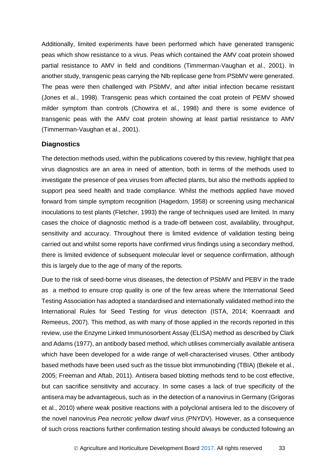Additionally, limited experiments have been performed which have generated transgenic peas which show resistance to a virus. Peas which contained the AMV coat protein showed partial resistance to AMV in field and conditions (Timmerman-Vaughan et al., 2001). In another study, transgenic peas carrying the Nlb replicase gene from PSbMV were generated. The peas were then challenged with PSbMV, and after initial infection became resistant (Jones et al., 1998). Transgenic peas which contained the coat protein of PEMV showed milder symptom than controls (Chowrira et al., 1998) and there is some evidence of transgenic peas with the AMV coat protein showing at least partial resistance to AMV (Timmerman-Vaughan et al., 2001).

#### **Diagnostics**

The detection methods used, within the publications covered by this review, highlight that pea virus diagnostics are an area in need of attention, both in terms of the methods used to investigate the presence of pea viruses from affected plants, but also the methods applied to support pea seed health and trade compliance. Whilst the methods applied have moved forward from simple symptom recognition (Hagedorn, 1958) or screening using mechanical inoculations to test plants (Fletcher, 1993) the range of techniques used are limited. In many cases the choice of diagnostic method is a trade-off between cost, availability, throughput, sensitivity and accuracy. Throughout there is limited evidence of validation testing being carried out and whilst some reports have confirmed virus findings using a secondary method, there is limited evidence of subsequent molecular level or sequence confirmation, although this is largely due to the age of many of the reports.

Due to the risk of seed-borne virus diseases, the detection of PSbMV and PEBV in the trade as a method to ensure crop quality is one of the few areas where the International Seed Testing Association has adopted a standardised and internationally validated method into the International Rules for Seed Testing for virus detection (ISTA, 2014; Koenraadt and Remeeus, 2007). This method, as with many of those applied in the records reported in this review, use the Enzyme Linked Immunosorbent Assay (ELISA) method as described by Clark and Adams (1977), an antibody based method, which utilises commercially available antisera which have been developed for a wide range of well-characterised viruses. Other antibody based methods have been used such as the tissue blot immunobinding (TBIA) (Bekele et al., 2005; Freeman and Aftab, 2011). Antisera based blotting methods tend to be cost effective, but can sacrifice sensitivity and accuracy. In some cases a lack of true specificity of the antisera may be advantageous, such as in the detection of a nanovirus in Germany (Grigoras et al., 2010) where weak positive reactions with a polyclonal antisera led to the discovery of the novel nanovirus *Pea necrotic yellow dwarf virus* (PNYDV). However, as a consequence of such cross reactions further confirmation testing should always be conducted following an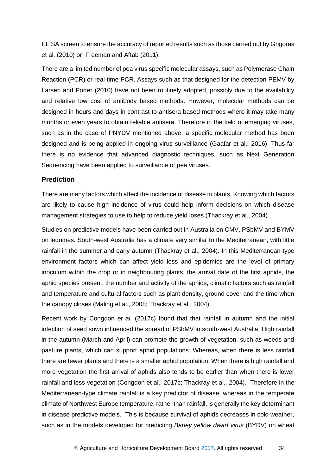ELISA screen to ensure the accuracy of reported results such as those carried out by Grigoras et al. (2010) or Freeman and Aftab (2011).

There are a limited number of pea virus specific molecular assays, such as Polymerase Chain Reaction (PCR) or real-time PCR. Assays such as that designed for the detection PEMV by Larsen and Porter (2010) have not been routinely adopted, possibly due to the availability and relative low cost of antibody based methods. However, molecular methods can be designed in hours and days in contrast to antisera based methods where it may take many months or even years to obtain reliable antisera. Therefore in the field of emerging viruses, such as in the case of PNYDV mentioned above, a specific molecular method has been designed and is being applied in ongoing virus surveillance (Gaafar et al., 2016). Thus far there is no evidence that advanced diagnostic techniques, such as Next Generation Sequencing have been applied to surveillance of pea viruses.

#### **Prediction**

There are many factors which affect the incidence of disease in plants. Knowing which factors are likely to cause high incidence of virus could help inform decisions on which disease management strategies to use to help to reduce yield loses (Thackray et al., 2004).

Studies on predictive models have been carried out in Australia on CMV, PSbMV and BYMV on legumes. South-west Australia has a climate very similar to the Mediterranean, with little rainfall in the summer and early autumn (Thackray et al., 2004). In this Mediterranean-type environment factors which can affect yield loss and epidemics are the level of primary inoculum within the crop or in neighbouring plants, the arrival date of the first aphids, the aphid species present, the number and activity of the aphids, climatic factors such as rainfall and temperature and cultural factors such as plant density, ground cover and the time when the canopy closes (Maling et al., 2008; Thackray et al., 2004).

Recent work by Congdon *et al.* (2017c) found that that rainfall in autumn and the initial infection of seed sown influenced the spread of PSbMV in south-west Australia. High rainfall in the autumn (March and April) can promote the growth of vegetation, such as weeds and pasture plants, which can support aphid populations. Whereas, when there is less rainfall there are fewer plants and there is a smaller aphid population. When there is high rainfall and more vegetation the first arrival of aphids also tends to be earlier than when there is lower rainfall and less vegetation (Congdon et al., 2017c; Thackray et al., 2004). Therefore in the Mediterranean-type climate rainfall is a key predictor of disease, whereas in the temperate climate of Northwest Europe temperature, rather than rainfall, is generally the key determinant in disease predictive models. This is because survival of aphids decreases in cold weather, such as in the models developed for predicting *Barley yellow dwarf virus* (BYDV) on wheat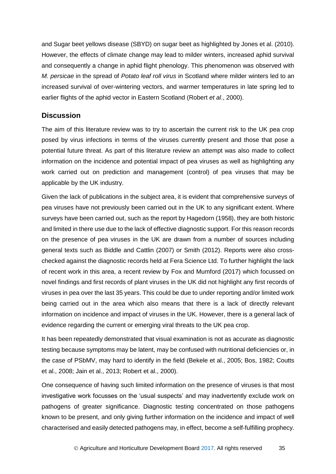and Sugar beet yellows disease (SBYD) on sugar beet as highlighted by Jones et al. (2010). However, the effects of climate change may lead to milder winters, increased aphid survival and consequently a change in aphid flight phenology. This phenomenon was observed with *M. persicae* in the spread of *Potato leaf roll virus* in Scotland where milder winters led to an increased survival of over-wintering vectors, and warmer temperatures in late spring led to earlier flights of the aphid vector in Eastern Scotland (Robert *et al*., 2000).

#### <span id="page-38-0"></span>**Discussion**

The aim of this literature review was to try to ascertain the current risk to the UK pea crop posed by virus infections in terms of the viruses currently present and those that pose a potential future threat. As part of this literature review an attempt was also made to collect information on the incidence and potential impact of pea viruses as well as highlighting any work carried out on prediction and management (control) of pea viruses that may be applicable by the UK industry.

Given the lack of publications in the subject area, it is evident that comprehensive surveys of pea viruses have not previously been carried out in the UK to any significant extent. Where surveys have been carried out, such as the report by Hagedorn (1958), they are both historic and limited in there use due to the lack of effective diagnostic support. For this reason records on the presence of pea viruses in the UK are drawn from a number of sources including general texts such as Biddle and Cattlin (2007) or Smith (2012). Reports were also crosschecked against the diagnostic records held at Fera Science Ltd. To further highlight the lack of recent work in this area, a recent review by Fox and Mumford (2017) which focussed on novel findings and first records of plant viruses in the UK did not highlight any first records of viruses in pea over the last 35 years. This could be due to under reporting and/or limited work being carried out in the area which also means that there is a lack of directly relevant information on incidence and impact of viruses in the UK. However, there is a general lack of evidence regarding the current or emerging viral threats to the UK pea crop.

It has been repeatedly demonstrated that visual examination is not as accurate as diagnostic testing because symptoms may be latent, may be confused with nutritional deficiencies or, in the case of PSbMV, may hard to identify in the field (Bekele et al., 2005; Bos, 1982; Coutts et al., 2008; Jain et al., 2013; Robert et al., 2000).

One consequence of having such limited information on the presence of viruses is that most investigative work focusses on the 'usual suspects' and may inadvertently exclude work on pathogens of greater significance. Diagnostic testing concentrated on those pathogens known to be present, and only giving further information on the incidence and impact of well characterised and easily detected pathogens may, in effect, become a self-fulfilling prophecy.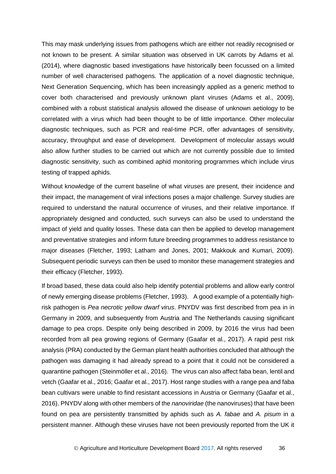This may mask underlying issues from pathogens which are either not readily recognised or not known to be present. A similar situation was observed in UK carrots by Adams et al. (2014), where diagnostic based investigations have historically been focussed on a limited number of well characterised pathogens. The application of a novel diagnostic technique, Next Generation Sequencing, which has been increasingly applied as a generic method to cover both characterised and previously unknown plant viruses (Adams et al., 2009), combined with a robust statistical analysis allowed the disease of unknown aetiology to be correlated with a virus which had been thought to be of little importance. Other molecular diagnostic techniques, such as PCR and real-time PCR, offer advantages of sensitivity, accuracy, throughput and ease of development. Development of molecular assays would also allow further studies to be carried out which are not currently possible due to limited diagnostic sensitivity, such as combined aphid monitoring programmes which include virus testing of trapped aphids.

Without knowledge of the current baseline of what viruses are present, their incidence and their impact, the management of viral infections poses a major challenge. Survey studies are required to understand the natural occurrence of viruses, and their relative importance. If appropriately designed and conducted, such surveys can also be used to understand the impact of yield and quality losses. These data can then be applied to develop management and preventative strategies and inform future breeding programmes to address resistance to major diseases (Fletcher, 1993; Latham and Jones, 2001; Makkouk and Kumari, 2009). Subsequent periodic surveys can then be used to monitor these management strategies and their efficacy (Fletcher, 1993).

If broad based, these data could also help identify potential problems and allow early control of newly emerging disease problems (Fletcher, 1993). A good example of a potentially highrisk pathogen is *Pea necrotic yellow dwarf virus*. PNYDV was first described from pea in in Germany in 2009, and subsequently from Austria and The Netherlands causing significant damage to pea crops. Despite only being described in 2009, by 2016 the virus had been recorded from all pea growing regions of Germany (Gaafar et al., 2017). A rapid pest risk analysis (PRA) conducted by the German plant health authorities concluded that although the pathogen was damaging it had already spread to a point that it could not be considered a quarantine pathogen (Steinmöller et al., 2016). The virus can also affect faba bean, lentil and vetch (Gaafar et al., 2016; Gaafar et al., 2017). Host range studies with a range pea and faba bean cultivars were unable to find resistant accessions in Austria or Germany (Gaafar et al., 2016). PNYDV along with other members of the *nanoviridae* (the nanoviruses) that have been found on pea are persistently transmitted by aphids such as *A. fabae* and *A. pisum* in a persistent manner. Although these viruses have not been previously reported from the UK it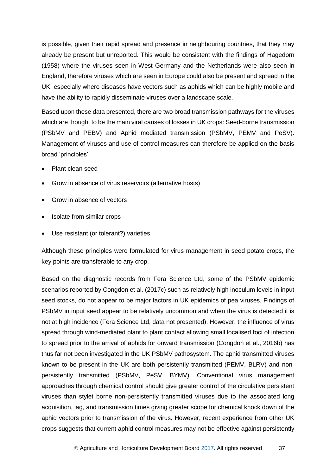is possible, given their rapid spread and presence in neighbouring countries, that they may already be present but unreported. This would be consistent with the findings of Hagedorn (1958) where the viruses seen in West Germany and the Netherlands were also seen in England, therefore viruses which are seen in Europe could also be present and spread in the UK, especially where diseases have vectors such as aphids which can be highly mobile and have the ability to rapidly disseminate viruses over a landscape scale.

Based upon these data presented, there are two broad transmission pathways for the viruses which are thought to be the main viral causes of losses in UK crops: Seed-borne transmission (PSbMV and PEBV) and Aphid mediated transmission (PSbMV, PEMV and PeSV). Management of viruses and use of control measures can therefore be applied on the basis broad 'principles':

- Plant clean seed
- Grow in absence of virus reservoirs (alternative hosts)
- Grow in absence of vectors
- Isolate from similar crops
- Use resistant (or tolerant?) varieties

Although these principles were formulated for virus management in seed potato crops, the key points are transferable to any crop.

Based on the diagnostic records from Fera Science Ltd, some of the PSbMV epidemic scenarios reported by Congdon et al. (2017c) such as relatively high inoculum levels in input seed stocks, do not appear to be major factors in UK epidemics of pea viruses. Findings of PSbMV in input seed appear to be relatively uncommon and when the virus is detected it is not at high incidence (Fera Science Ltd, data not presented). However, the influence of virus spread through wind-mediated plant to plant contact allowing small localised foci of infection to spread prior to the arrival of aphids for onward transmission (Congdon et al., 2016b) has thus far not been investigated in the UK PSbMV pathosystem. The aphid transmitted viruses known to be present in the UK are both persistently transmitted (PEMV, BLRV) and nonpersistently transmitted (PSbMV, PeSV, BYMV). Conventional virus management approaches through chemical control should give greater control of the circulative persistent viruses than stylet borne non-persistently transmitted viruses due to the associated long acquisition, lag, and transmission times giving greater scope for chemical knock down of the aphid vectors prior to transmission of the virus. However, recent experience from other UK crops suggests that current aphid control measures may not be effective against persistently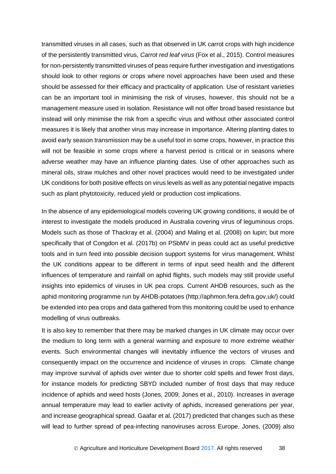transmitted viruses in all cases, such as that observed in UK carrot crops with high incidence of the persistently transmitted virus, *Carrot red leaf virus* (Fox et al., 2015). Control measures for non-persistently transmitted viruses of peas require further investigation and investigations should look to other regions or crops where novel approaches have been used and these should be assessed for their efficacy and practicality of application. Use of resistant varieties can be an important tool in minimising the risk of viruses, however, this should not be a management measure used in isolation. Resistance will not offer broad based resistance but instead will only minimise the risk from a specific virus and without other associated control measures it is likely that another virus may increase in importance. Altering planting dates to avoid early season transmission may be a useful tool in some crops, however, in practice this will not be feasible in some crops where a harvest period is critical or in seasons where adverse weather may have an influence planting dates. Use of other approaches such as mineral oils, straw mulches and other novel practices would need to be investigated under UK conditions for both positive effects on virus levels as well as any potential negative impacts such as plant phytotoxicity, reduced yield or production cost implications.

In the absence of any epidemiological models covering UK growing conditions, it would be of interest to investigate the models produced in Australia covering virus of leguminous crops. Models such as those of Thackray et al. (2004) and Maling et al. (2008) on lupin; but more specifically that of Congdon et al. (2017b) on PSbMV in peas could act as useful predictive tools and in turn feed into possible decision support systems for virus management. Whilst the UK conditions appear to be different in terms of input seed health and the different influences of temperature and rainfall on aphid flights, such models may still provide useful insights into epidemics of viruses in UK pea crops. Current AHDB resources, such as the aphid monitoring programme run by AHDB-potatoes (http://aphmon.fera.defra.gov.uk/) could be extended into pea crops and data gathered from this monitoring could be used to enhance modelling of virus outbreaks.

It is also key to remember that there may be marked changes in UK climate may occur over the medium to long term with a general warming and exposure to more extreme weather events. Such environmental changes will inevitably influence the vectors of viruses and consequently impact on the occurrence and incidence of viruses in crops. Climate change may improve survival of aphids over winter due to shorter cold spells and fewer frost days, for instance models for predicting SBYD included number of frost days that may reduce incidence of aphids and weed hosts (Jones, 2009; Jones et al., 2010). Increases in average annual temperature may lead to earlier activity of aphids, increased generations per year, and increase geographical spread. Gaafar et al. (2017) predicted that changes such as these will lead to further spread of pea-infecting nanoviruses across Europe. Jones, (2009) also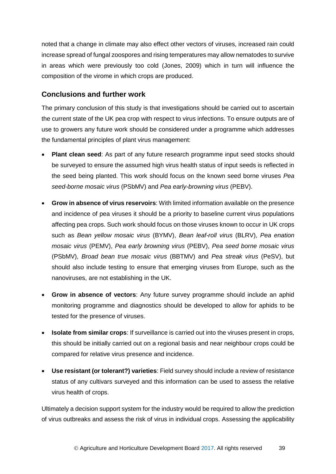noted that a change in climate may also effect other vectors of viruses, increased rain could increase spread of fungal zoospores and rising temperatures may allow nematodes to survive in areas which were previously too cold (Jones, 2009) which in turn will influence the composition of the virome in which crops are produced.

### <span id="page-42-0"></span>**Conclusions and further work**

The primary conclusion of this study is that investigations should be carried out to ascertain the current state of the UK pea crop with respect to virus infections. To ensure outputs are of use to growers any future work should be considered under a programme which addresses the fundamental principles of plant virus management:

- **Plant clean seed**: As part of any future research programme input seed stocks should be surveyed to ensure the assumed high virus health status of input seeds is reflected in the seed being planted. This work should focus on the known seed borne viruses *Pea seed-borne mosaic virus* (PSbMV) and *Pea early-browning virus* (PEBV).
- **Grow in absence of virus reservoirs**: With limited information available on the presence and incidence of pea viruses it should be a priority to baseline current virus populations affecting pea crops. Such work should focus on those viruses known to occur in UK crops such as *Bean yellow mosaic virus* (BYMV), *Bean leaf-roll virus* (BLRV), *Pea enation mosaic virus* (PEMV), *Pea early browning virus* (PEBV), *Pea seed borne mosaic virus*  (PSbMV), *Broad bean true mosaic virus* (BBTMV) and *Pea streak virus* (PeSV), but should also include testing to ensure that emerging viruses from Europe, such as the nanoviruses, are not establishing in the UK.
- **Grow in absence of vectors**: Any future survey programme should include an aphid monitoring programme and diagnostics should be developed to allow for aphids to be tested for the presence of viruses.
- **Isolate from similar crops**: If surveillance is carried out into the viruses present in crops, this should be initially carried out on a regional basis and near neighbour crops could be compared for relative virus presence and incidence.
- **Use resistant (or tolerant?) varieties**: Field survey should include a review of resistance status of any cultivars surveyed and this information can be used to assess the relative virus health of crops.

Ultimately a decision support system for the industry would be required to allow the prediction of virus outbreaks and assess the risk of virus in individual crops. Assessing the applicability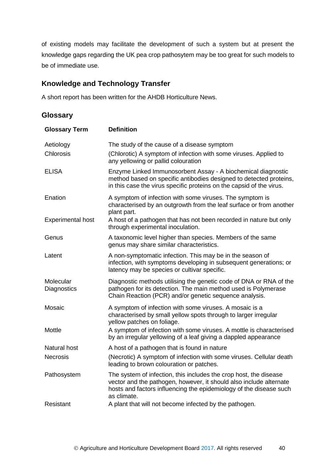of existing models may facilitate the development of such a system but at present the knowledge gaps regarding the UK pea crop pathosytem may be too great for such models to be of immediate use.

# <span id="page-43-0"></span>**Knowledge and Technology Transfer**

A short report has been written for the AHDB Horticulture News.

## <span id="page-43-1"></span>**Glossary**

| <b>Glossary Term</b>     | <b>Definition</b>                                                                                                                                                                                                            |
|--------------------------|------------------------------------------------------------------------------------------------------------------------------------------------------------------------------------------------------------------------------|
| Aetiology<br>Chlorosis   | The study of the cause of a disease symptom<br>(Chlorotic) A symptom of infection with some viruses. Applied to<br>any yellowing or pallid colouration                                                                       |
| <b>ELISA</b>             | Enzyme Linked Immunosorbent Assay - A biochemical diagnostic<br>method based on specific antibodies designed to detected proteins,<br>in this case the virus specific proteins on the capsid of the virus.                   |
| Enation                  | A symptom of infection with some viruses. The symptom is<br>characterised by an outgrowth from the leaf surface or from another<br>plant part.                                                                               |
| <b>Experimental host</b> | A host of a pathogen that has not been recorded in nature but only<br>through experimental inoculation.                                                                                                                      |
| Genus                    | A taxonomic level higher than species. Members of the same<br>genus may share similar characteristics.                                                                                                                       |
| Latent                   | A non-symptomatic infection. This may be in the season of<br>infection, with symptoms developing in subsequent generations; or<br>latency may be species or cultivar specific.                                               |
| Molecular<br>Diagnostics | Diagnostic methods utilising the genetic code of DNA or RNA of the<br>pathogen for its detection. The main method used is Polymerase<br>Chain Reaction (PCR) and/or genetic sequence analysis.                               |
| Mosaic                   | A symptom of infection with some viruses. A mosaic is a<br>characterised by small yellow spots through to larger irregular<br>yellow patches on foliage.                                                                     |
| Mottle                   | A symptom of infection with some viruses. A mottle is characterised<br>by an irregular yellowing of a leaf giving a dappled appearance                                                                                       |
| <b>Natural host</b>      | A host of a pathogen that is found in nature                                                                                                                                                                                 |
| <b>Necrosis</b>          | (Necrotic) A symptom of infection with some viruses. Cellular death<br>leading to brown colouration or patches.                                                                                                              |
| Pathosystem              | The system of infection, this includes the crop host, the disease<br>vector and the pathogen, however, it should also include alternate<br>hosts and factors influencing the epidemiology of the disease such<br>as climate. |
| Resistant                | A plant that will not become infected by the pathogen.                                                                                                                                                                       |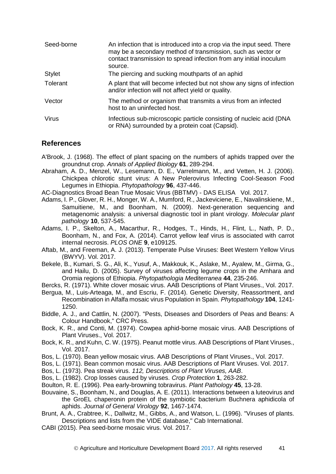| Seed-borne    | An infection that is introduced into a crop via the input seed. There<br>may be a secondary method of transmission, such as vector or<br>contact transmission to spread infection from any initial inoculum<br>source. |
|---------------|------------------------------------------------------------------------------------------------------------------------------------------------------------------------------------------------------------------------|
| <b>Stylet</b> | The piercing and sucking mouthparts of an aphid                                                                                                                                                                        |
| Tolerant      | A plant that will become infected but not show any signs of infection<br>and/or infection will not affect yield or quality.                                                                                            |
| Vector        | The method or organism that transmits a virus from an infected<br>host to an uninfected host.                                                                                                                          |
| Virus         | Infectious sub-microscopic particle consisting of nucleic acid (DNA<br>or RNA) surrounded by a protein coat (Capsid).                                                                                                  |

### <span id="page-44-0"></span>**References**

- A'Brook, J. (1968). The effect of plant spacing on the numbers of aphids trapped over the groundnut crop. *Annals of Applied Biology* **61**, 289-294.
- Abraham, A. D., Menzel, W., Lesemann, D. E., Varrelmann, M., and Vetten, H. J. (2006). Chickpea chlorotic stunt virus: A New Polerovirus Infecting Cool-Season Food Legumes in Ethiopia. *Phytopathology* **96**, 437-446.
- AC-Diagnostics Broad Bean True Mosaic Virus (BBTMV) DAS ELISA Vol. 2017.
- Adams, I. P., Glover, R. H., Monger, W. A., Mumford, R., Jackeviciene, E., Navalinskiene, M., Samuitiene, M., and Boonham, N. (2009). Next‐generation sequencing and metagenomic analysis: a universal diagnostic tool in plant virology. *Molecular plant pathology* **10**, 537-545.
- Adams, I. P., Skelton, A., Macarthur, R., Hodges, T., Hinds, H., Flint, L., Nath, P. D., Boonham, N., and Fox, A. (2014). Carrot yellow leaf virus is associated with carrot internal necrosis. *PLOS ONE* **9**, e109125.
- Aftab, M., and Freeman, A. J. (2013). Temperate Pulse Viruses: Beet Western Yellow Virus (BWYV). Vol. 2017.
- Bekele, B., Kumari, S. G., Ali, K., Yusuf, A., Makkouk, K., Aslake, M., Ayalew, M., Girma, G., and Hailu, D. (2005). Survey of viruses affecting legume crops in the Amhara and Oromia regions of Ethiopia. *Phytopathologia Mediterranea* **44**, 235-246.

Bercks, R. (1971). White clover mosaic virus. AAB Descriptions of Plant Viruses., Vol. 2017.

- Bergua, M., Luis-Arteaga, M., and Escriu, F. (2014). Genetic Diversity, Reassortment, and Recombination in Alfalfa mosaic virus Population in Spain. *Phytopathology* **104**, 1241- 1250.
- Biddle, A. J., and Cattlin, N. (2007). "Pests, Diseases and Disorders of Peas and Beans: A Colour Handbook," CRC Press.
- Bock, K. R., and Conti, M. (1974). Cowpea aphid-borne mosaic virus. AAB Descriptions of Plant Viruses., Vol. 2017.
- Bock, K. R., and Kuhn, C. W. (1975). Peanut mottle virus. AAB Descriptions of Plant Viruses., Vol. 2017.
- Bos, L. (1970). Bean yellow mosaic virus. AAB Descriptions of Plant Viruses., Vol. 2017.
- Bos, L. (1971). Bean common mosaic virus. AAB Descriptions of Plant Viruses. Vol. 2017.
- Bos, L. (1973). Pea streak virus. *112, Descriptions of Plant Viruses, AAB*.
- Bos, L. (1982). Crop losses caused by viruses. *Crop Protection* **1**, 263-282.
- Boulton, R. E. (1996). Pea early-browning tobravirus. *Plant Pathology* **45**, 13-28.
- Bouvaine, S., Boonham, N., and Douglas, A. E. (2011). Interactions between a luteovirus and the GroEL chaperonin protein of the symbiotic bacterium Buchnera aphidicola of aphids. *Journal of General Virology* **92**, 1467-1474.
- Brunt, A. A., Crabtree, K., Dallwitz, M., Gibbs, A., and Watson, L. (1996). "Viruses of plants. Descriptions and lists from the VIDE database," Cab International.
- CABI (2015). Pea seed-borne mosaic virus. Vol. 2017.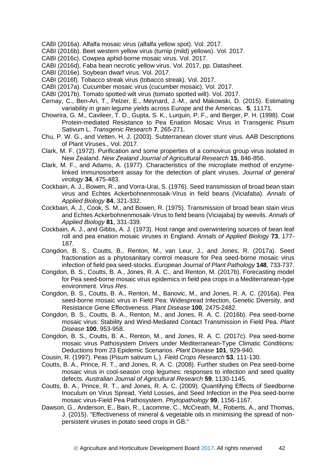- CABI (2016a). Alfalfa mosaic virus (alfalfa yellow spot). Vol. 2017.
- CABI (2016b). Beet western yellow virus (turnip (mild) yellows). Vol. 2017.
- CABI (2016c). Cowpea aphid-borne mosaic virus. Vol. 2017.
- CABI (2016d). Faba bean necrotic yellow virus. Vol. 2017, pp. Datasheet.
- CABI (2016e). Soybean dwarf virus. Vol. 2017.
- CABI (2016f). Tobacco streak virus (tobacco streak). Vol. 2017.
- CABI (2017a). Cucumber mosaic virus (cucumber mosaic). Vol. 2017.
- CABI (2017b). Tomato spotted wilt virus (tomato spotted wilt). Vol. 2017.
- Cernay, C., Ben-Ari, T., Pelzer, E., Meynard, J.-M., and Makowski, D. (2015). Estimating variability in grain legume yields across Europe and the Americas. **5**, 11171.
- Chowrira, G. M., Cavileer, T. D., Gupta, S. K., Lurquin, P. F., and Berger, P. H. (1998). Coat Protein-mediated Resistance to Pea Enation Mosaic Virus in Transgenic Pisum Sativum L. *Transgenic Research* **7**, 265-271.
- Chu, P. W. G., and Vetten, H. J. (2003). Subterranean clover stunt virus. AAB Descriptions of Plant Viruses., Vol. 2017.
- Clark, M. F. (1972). Purification and some properties of a comovirus group virus isolated in New Zealand. *New Zealand Journal of Agricultural Research* **15**, 846-856.
- Clark, M. F., and Adams, A. (1977). Characteristics of the microplate method of enzymelinked immunosorbent assay for the detection of plant viruses. *Journal of general virology* **34**, 475-483.
- Cockbain, A. J., Bowen, R., and Vorra-Urai, S. (1976). Seed transmission of broad bean stain virus and Echtes Ackerbohnenmosaik-Virus in field beans (Viciafaba). *Annals of Applied Biology* **84**, 321-332.
- Cockbain, A. J., Cook, S. M., and Bowen, R. (1975). Transmission of broad bean stain virus and Echtes Ackerbohnenmosaik-Virus to field beans (Viciajaba) by weevils. *Annals of Applied Biology* **81**, 331-339.
- Cockbain, A. J., and Gibbs, A. J. (1973). Host range and overwintering sources of bean leaf roll and pea enation mosaic viruses in England. *Annals of Applied Biology* **73**, 177- 187.
- Congdon, B. S., Coutts, B., Renton, M., van Leur, J., and Jones, R. (2017a). Seed fractionation as a phytosanitary control measure for Pea seed-borne mosaic virus infection of field pea seed-stocks. *European Journal of Plant Pathology* **148**, 733-737.
- Congdon, B. S., Coutts, B. A., Jones, R. A. C., and Renton, M. (2017b). Forecasting model for Pea seed-borne mosaic virus epidemics in field pea crops in a Mediterranean-type environment. *Virus Res*.
- Congdon, B. S., Coutts, B. A., Renton, M., Banovic, M., and Jones, R. A. C. (2016a). Pea seed-borne mosaic virus in Field Pea: Widespread Infection, Genetic Diversity, and Resistance Gene Effectiveness. *Plant Disease* **100**, 2475-2482.
- Congdon, B. S., Coutts, B. A., Renton, M., and Jones, R. A. C. (2016b). Pea seed-borne mosaic virus: Stability and Wind-Mediated Contact Transmission in Field Pea. *Plant Disease* **100**, 953-958.
- Congdon, B. S., Coutts, B. A., Renton, M., and Jones, R. A. C. (2017c). Pea seed-borne mosaic virus Pathosystem Drivers under Mediterranean-Type Climatic Conditions: Deductions from 23 Epidemic Scenarios. *Plant Disease* **101**, 929-940.
- Cousin, R. (1997). Peas (Pisum sativum L.). *Field Crops Research* **53**, 111-130.
- Coutts, B. A., Prince, R. T., and Jones, R. A. C. (2008). Further studies on Pea seed-borne mosaic virus in cool-season crop legumes: responses to infection and seed quality defects. *Australian Journal of Agricultural Research* **59**, 1130-1145.
- Coutts, B. A., Prince, R. T., and Jones, R. A. C. (2009). Quantifying Effects of Seedborne Inoculum on Virus Spread, Yield Losses, and Seed Infection in the Pea seed-borne mosaic virus-Field Pea Pathosystem. *Phytopathology* **99**, 1156-1167.
- Dawson, G., Anderson, E., Bain, R., Lacomme, C., McCreath, M., Roberts, A., and Thomas, J. (2015). "Effectiveness of mineral & vegetable oils in minimising the spread of nonpersistent viruses in potato seed crops in GB."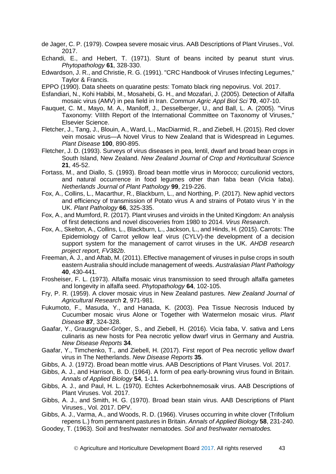- de Jager, C. P. (1979). Cowpea severe mosaic virus. AAB Descriptions of Plant Viruses., Vol. 2017.
- Echandi, E., and Hebert, T. (1971). Stunt of beans incited by peanut stunt virus. *Phytopathology* **61**, 328-330.
- Edwardson, J. R., and Christie, R. G. (1991). "CRC Handbook of Viruses Infecting Legumes," Taylor & Francis.
- EPPO (1990). Data sheets on quaratine pests: Tomato black ring nepovirus. Vol. 2017.
- Esfandiari, N., Kohi Habibi, M., Mosahebi, G. H., and Mozafari, J. (2005). Detection of Alfalfa mosaic virus (AMV) in pea field in Iran. *Commun Agric Appl Biol Sci* **70**, 407-10.
- Fauquet, C. M., Mayo, M. A., Maniloff, J., Desselberger, U., and Ball, L. A. (2005). "Virus Taxonomy: VIIIth Report of the International Committee on Taxonomy of Viruses," Elsevier Science.
- Fletcher, J., Tang, J., Blouin, A., Ward, L., MacDiarmid, R., and Ziebell, H. (2015). Red clover vein mosaic virus—A Novel Virus to New Zealand that is Widespread in Legumes. *Plant Disease* **100**, 890-895.
- Fletcher, J. D. (1993). Surveys of virus diseases in pea, lentil, dwarf and broad bean crops in South Island, New Zealand. *New Zealand Journal of Crop and Horticultural Science* **21**, 45-52.
- Fortass, M., and Diallo, S. (1993). Broad bean mottle virus in Morocco; curculionid vectors, and natural occurrence in food legumes other than faba bean (Vicia faba). *Netherlands Journal of Plant Pathology* **99**, 219-226.
- Fox, A., Collins, L., Macarthur, R., Blackburn, L., and Northing, P. (2017). New aphid vectors and efficiency of transmission of Potato virus A and strains of Potato virus Y in the UK. *Plant Pathology* **66**, 325-335.
- Fox, A., and Mumford, R. (2017). Plant viruses and viroids in the United Kingdom: An analysis of first detections and novel discoveries from 1980 to 2014. *Virus Research*.
- Fox, A., Skelton, A., Collins, L., Blackburn, L., Jackson, L., and Hinds, H. (2015). Carrots: The Epidemiology of Carrot yellow leaf virus (CYLV)-the development of a decision support system for the management of carrot viruses in the UK. *AHDB research project report, FV382b*.
- Freeman, A. J., and Aftab, M. (2011). Effective management of viruses in pulse crops in south eastern Australia should include management of weeds. *Australasian Plant Pathology* **40**, 430-441.
- Frosheiser, F. L. (1973). Alfalfa mosaic virus transmission to seed through alfalfa gametes and longevity in alfalfa seed. *Phytopathology* **64**, 102-105.
- Fry, P. R. (1959). A clover mosaic virus in New Zealand pastures. *New Zealand Journal of Agricultural Research* **2**, 971-981.
- Fukumoto, F., Masuda, Y., and Hanada, K. (2003). Pea Tissue Necrosis Induced by Cucumber mosaic virus Alone or Together with Watermelon mosaic virus. *Plant Disease* **87**, 324-328.
- Gaafar, Y., Grausgruber-Gröger, S., and Ziebell, H. (2016). Vicia faba, V. sativa and Lens culinaris as new hosts for Pea necrotic yellow dwarf virus in Germany and Austria. *New Disease Reports* **34**.
- Gaafar, Y., Timchenko, T., and Ziebell, H. (2017). First report of Pea necrotic yellow dwarf virus in The Netherlands. *New Disease Reports* **35**.
- Gibbs, A. J. (1972). Broad bean mottle virus. AAB Descriptions of Plant Viruses. Vol. 2017.
- Gibbs, A. J., and Harrison, B. D. (1964). A form of pea early-browning virus found in Britain. *Annals of Applied Biology* **54**, 1-11.
- Gibbs, A. J., and Paul, H. L. (1970). Echtes Ackerbohnemosaik virus. AAB Descriptions of Plant Viruses. Vol. 2017.
- Gibbs, A. J., and Smith, H. G. (1970). Broad bean stain virus. AAB Descriptions of Plant Viruses., Vol. 2017. DPV.
- Gibbs, A. J., Varma, A., and Woods, R. D. (1966). Viruses occurring in white clover (Trifolium repens L.) from permanent pastures in Britain. *Annals of Applied Biology* **58**, 231-240.
- Goodey, T. (1963). Soil and freshwater nematodes. *Soil and freshwater nematodes.*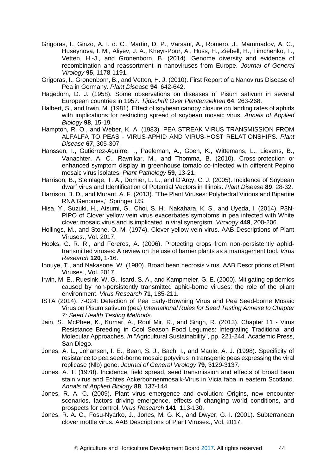- Grigoras, I., Ginzo, A. I. d. C., Martin, D. P., Varsani, A., Romero, J., Mammadov, A. C., Huseynova, I. M., Aliyev, J. A., Kheyr-Pour, A., Huss, H., Ziebell, H., Timchenko, T., Vetten, H.-J., and Gronenborn, B. (2014). Genome diversity and evidence of recombination and reassortment in nanoviruses from Europe. *Journal of General Virology* **95**, 1178-1191.
- Grigoras, I., Gronenborn, B., and Vetten, H. J. (2010). First Report of a Nanovirus Disease of Pea in Germany. *Plant Disease* **94**, 642-642.
- Hagedorn, D. J. (1958). Some observations on diseases of Pisum sativum in several European countries in 1957. *Tijdschrift Over Plantenziekten* **64**, 263-268.
- Halbert, S., and Irwin, M. (1981). Effect of soybean canopy closure on landing rates of aphids with implications for restricting spread of soybean mosaic virus. *Annals of Applied Biology* **98**, 15-19.

Hampton, R. O., and Weber, K. A. (1983). PEA STREAK VIRUS TRANSMISSION FROM ALFALFA TO PEAS - VIRUS-APHID AND VIRUS-HOST RELATIONSHIPS. *Plant Disease* **67**, 305-307.

- Hanssen, I., Gutiérrez‐Aguirre, I., Paeleman, A., Goen, K., Wittemans, L., Lievens, B., Vanachter, A. C., Ravnikar, M., and Thomma, B. (2010). Cross-protection or enhanced symptom display in greenhouse tomato co-infected with different Pepino mosaic virus isolates. *Plant Pathology* **59**, 13-21.
- Harrison, B., Steinlage, T. A., Domier, L. L., and D'Arcy, C. J. (2005). Incidence of Soybean dwarf virus and Identification of Potential Vectors in Illinois. *Plant Disease* **89**, 28-32.
- Harrison, B. D., and Murant, A. F. (2013). "The Plant Viruses: Polyhedral Virions and Bipartite RNA Genomes," Springer US.
- Hisa, Y., Suzuki, H., Atsumi, G., Choi, S. H., Nakahara, K. S., and Uyeda, I. (2014). P3N-PIPO of Clover yellow vein virus exacerbates symptoms in pea infected with White clover mosaic virus and is implicated in viral synergism. *Virology* **449**, 200-206.
- Hollings, M., and Stone, O. M. (1974). Clover yellow vein virus. AAB Descriptions of Plant Viruses., Vol. 2017.
- Hooks, C. R. R., and Fereres, A. (2006). Protecting crops from non-persistently aphidtransmitted viruses: A review on the use of barrier plants as a management tool. *Virus Research* **120**, 1-16.
- Inouye, T., and Nakasone, W. (1980). Broad bean necrosis virus. AAB Descriptions of Plant Viruses., Vol. 2017.
- Irwin, M. E., Ruesink, W. G., Isard, S. A., and Kampmeier, G. E. (2000). Mitigating epidemics caused by non-persistently transmitted aphid-borne viruses: the role of the pliant environment. *Virus Research* **71**, 185-211.
- ISTA (2014). 7-024: Detection of Pea Early-Browning Virus and Pea Seed-borne Mosaic Virus on Pisum sativum (pea) *International Rules for Seed Testing Annexe to Chapter 7: Seed Health Testing Methods*.
- Jain, S., McPhee, K., Kumar, A., Rouf Mir, R., and Singh, R. (2013). Chapter 11 Virus Resistance Breeding in Cool Season Food Legumes: Integrating Traditional and Molecular Approaches. *In* "Agricultural Sustainability", pp. 221-244. Academic Press, San Diego.
- Jones, A. L., Johansen, I. E., Bean, S. J., Bach, I., and Maule, A. J. (1998). Specificity of resistance to pea seed-borne mosaic potyvirus in transgenic peas expressing the viral replicase (Nlb) gene. *Journal of General Virology* **79**, 3129-3137.
- Jones, A. T. (1978). Incidence, field spread, seed transmission and effects of broad bean stain virus and Echtes Ackerbohnenmosaik-Virus in Vicia faba in eastern Scotland. *Annals of Applied Biology* **88**, 137-144.
- Jones, R. A. C. (2009). Plant virus emergence and evolution: Origins, new encounter scenarios, factors driving emergence, effects of changing world conditions, and prospects for control. *Virus Research* **141**, 113-130.
- Jones, R. A. C., Fosu-Nyarko, J., Jones, M. G. K., and Dwyer, G. I. (2001). Subterranean clover mottle virus. AAB Descriptions of Plant Viruses., Vol. 2017.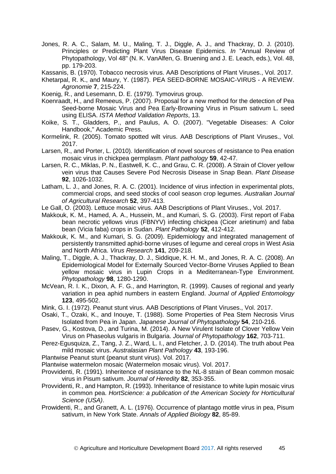- Jones, R. A. C., Salam, M. U., Maling, T. J., Diggle, A. J., and Thackray, D. J. (2010). Principles or Predicting Plant Virus Disease Epidemics. *In* "Annual Review of Phytopathology, Vol 48" (N. K. VanAlfen, G. Bruening and J. E. Leach, eds.), Vol. 48, pp. 179-203.
- Kassanis, B. (1970). Tobacco necrosis virus. AAB Descriptions of Plant Viruses., Vol. 2017.
- Khetarpal, R. K., and Maury, Y. (1987). PEA SEED-BORNE MOSAIC-VIRUS A REVIEW. *Agronomie* **7**, 215-224.
- Koenig, R., and Lesemann, D. E. (1979). Tymovirus group.
- Koenraadt, H., and Remeeus, P. (2007). Proposal for a new method for the detection of Pea Seed-borne Mosaic Virus and Pea Early-Browning Virus in Pisum sativum L. seed using ELISA. *ISTA Method Validation Reports*, 13.
- Koike, S. T., Gladders, P., and Paulus, A. O. (2007). "Vegetable Diseases: A Color Handbook," Academic Press.
- Kormelink, R. (2005). Tomato spotted wilt virus. AAB Descriptions of Plant Viruses., Vol. 2017.
- Larsen, R., and Porter, L. (2010). Identification of novel sources of resistance to Pea enation mosaic virus in chickpea germplasm. *Plant pathology* **59**, 42-47.
- Larsen, R. C., Miklas, P. N., Eastwell, K. C., and Grau, C. R. (2008). A Strain of Clover yellow vein virus that Causes Severe Pod Necrosis Disease in Snap Bean. *Plant Disease* **92**, 1026-1032.
- Latham, L. J., and Jones, R. A. C. (2001). Incidence of virus infection in experimental plots, commercial crops, and seed stocks of cool season crop legumes. *Australian Journal of Agricultural Research* **52**, 397-413.
- Le Gall, O. (2003). Lettuce mosaic virus. AAB Descriptions of Plant Viruses., Vol. 2017.
- Makkouk, K. M., Hamed, A. A., Hussein, M., and Kumari, S. G. (2003). First report of Faba bean necrotic yellows virus (FBNYV) infecting chickpea (Cicer arietinum) and faba bean (Vicia faba) crops in Sudan. *Plant Pathology* **52**, 412-412.
- Makkouk, K. M., and Kumari, S. G. (2009). Epidemiology and integrated management of persistently transmitted aphid-borne viruses of legume and cereal crops in West Asia and North Africa. *Virus Research* **141**, 209-218.
- Maling, T., Diggle, A. J., Thackray, D. J., Siddique, K. H. M., and Jones, R. A. C. (2008). An Epidemiological Model for Externally Sourced Vector-Borne Viruses Applied to Bean yellow mosaic virus in Lupin Crops in a Mediterranean-Type Environment. *Phytopathology* **98**, 1280-1290.
- McVean, R. I. K., Dixon, A. F. G., and Harrington, R. (1999). Causes of regional and yearly variation in pea aphid numbers in eastern England. *Journal of Applied Entomology* **123**, 495-502.
- Mink, G. I. (1972). Peanut stunt virus. AAB Descriptions of Plant Viruses., Vol. 2017.
- Osaki, T., Ozaki, K., and Inouye, T. (1988). Some Properties of Pea Stem Necrosis Virus Isolated from Pea in Japan. *Japanese Journal of Phytopathology* **54**, 210-216.
- Pasev, G., Kostova, D., and Turina, M. (2014). A New Virulent Isolate of Clover Yellow Vein Virus on Phaseolus vulgaris in Bulgaria. *Journal of Phytopathology* **162**, 703-711.
- Perez-Egusquiza, Z., Tang, J. Z., Ward, L. I., and Fletcher, J. D. (2014). The truth about Pea mild mosaic virus. *Australasian Plant Pathology* **43**, 193-196.
- Plantwise Peanut stunt (peanut stunt virus). Vol. 2017.
- Plantwise watermelon mosaic (Watermelon mosaic virus). Vol. 2017.
- Provvidenti, R. (1991). Inheritence of resistance to the NL-8 strain of Bean common mosaic virus in Pisum sativum. *Journal of Heredity* **82**, 353-355.
- Provvidenti, R., and Hampton, R. (1993). Inheritance of resistance to white lupin mosaic virus in common pea. *HortScience: a publication of the American Society for Horticultural Science (USA)*.
- Prowidenti, R., and Granett, A. L. (1976). Occurrence of plantago mottle virus in pea, Pisum sativum, in New York State. *Annals of Applied Biology* **82**, 85-89.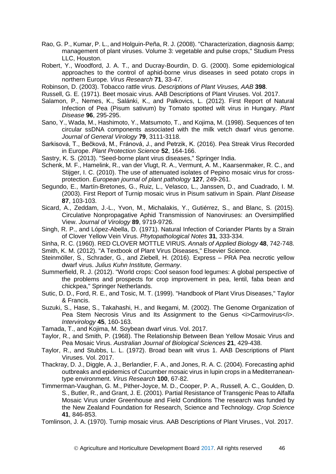- Rao, G. P., Kumar, P. L., and Holguin-Peña, R. J. (2008). "Characterization, diagnosis & management of plant viruses. Volume 3: vegetable and pulse crops," Studium Press LLC, Houston.
- Robert, Y., Woodford, J. A. T., and Ducray-Bourdin, D. G. (2000). Some epidemiological approaches to the control of aphid-borne virus diseases in seed potato crops in northern Europe. *Virus Research* **71**, 33-47.
- Robinson, D. (2003). Tobacco rattle virus. *Descriptions of Plant Viruses, AAB* **398**.
- Russell, G. E. (1971). Beet mosaic virus. AAB Descriptions of Plant Viruses. Vol. 2017.
- Salamon, P., Nemes, K., Salánki, K., and Palkovics, L. (2012). First Report of Natural Infection of Pea (Pisum sativum) by Tomato spotted wilt virus in Hungary. *Plant Disease* **96**, 295-295.
- Sano, Y., Wada, M., Hashimoto, Y., Matsumoto, T., and Kojima, M. (1998). Sequences of ten circular ssDNA components associated with the milk vetch dwarf virus genome. *Journal of General Virology* **79**, 3111-3118.
- Sarkisová, T., Bečková, M., Fránová, J., and Petrzik, K. (2016). Pea Streak Virus Recorded in Europe. *Plant Protection Science* **52**, 164-166.
- Sastry, K. S. (2013). "Seed-borne plant virus diseases," Springer India.
- Schenk, M. F., Hamelink, R., van der Vlugt, R. A., Vermunt, A. M., Kaarsenmaker, R. C., and Stijger, I. C. (2010). The use of attenuated isolates of Pepino mosaic virus for crossprotection. *European journal of plant pathology* **127**, 249-261.
- Segundo, E., Martín-Bretones, G., Ruiz, L., Velasco, L., Janssen, D., and Cuadrado, I. M. (2003). First Report of Turnip mosaic virus in Pisum sativum in Spain. *Plant Disease* **87**, 103-103.
- Sicard, A., Zeddam, J.-L., Yvon, M., Michalakis, Y., Gutiérrez, S., and Blanc, S. (2015). Circulative Nonpropagative Aphid Transmission of Nanoviruses: an Oversimplified View. *Journal of Virology* **89**, 9719-9726.
- Singh, R. P., and López-Abella, D. (1971). Natural Infection of Coriander Plants by a Strain of Clover Yellow Vein Virus. *Phytopathological Notes* **31**, 333-334.
- Sinha, R. C. (1960). RED CLOVER MOTTLE VIRUS. *Annals of Applied Biology* **48**, 742-748.
- Smith, K. M. (2012). "A Textbook of Plant Virus Diseases," Elsevier Science.
- Steinmöller, S., Schrader, G., and Ziebell, H. (2016). Express PRA Pea necrotic yellow dwarf virus. *Julius Kuhn Institute, Germany*.
- Summerfield, R. J. (2012). "World crops: Cool season food legumes: A global perspective of the problems and prospects for crop improvement in pea, lentil, faba bean and chickpea," Springer Netherlands.
- Sutic, D. D., Ford, R. E., and Tosic, M. T. (1999). "Handbook of Plant Virus Diseases," Taylor & Francis.
- Suzuki, S., Hase, S., Takahashi, H., and Ikegami, M. (2002). The Genome Organization of Pea Stem Necrosis Virus and Its Assignment to the Genus <i>Carmovirus</i>. *Intervirology* **45**, 160-163.
- Tamada, T., and Kojima, M. Soybean dwarf virus. Vol. 2017.
- Taylor, R., and Smith, P. (1968). The Relationship Between Bean Yellow Mosaic Virus and Pea Mosaic Virus. *Australian Journal of Biological Sciences* **21**, 429-438.
- Taylor, R., and Stubbs, L. L. (1972). Broad bean wilt virus 1. AAB Descriptions of Plant Viruses. Vol. 2017.
- Thackray, D. J., Diggle, A. J., Berlandier, F. A., and Jones, R. A. C. (2004). Forecasting aphid outbreaks and epidemics of Cucumber mosaic virus in lupin crops in a Mediterraneantype environment. *Virus Research* **100**, 67-82.
- Timmerman-Vaughan, G. M., Pither-Joyce, M. D., Cooper, P. A., Russell, A. C., Goulden, D. S., Butler, R., and Grant, J. E. (2001). Partial Resistance of Transgenic Peas to Alfalfa Mosaic Virus under Greenhouse and Field Conditions The research was funded by the New Zealand Foundation for Research, Science and Technology. *Crop Science* **41**, 846-853.
- Tomlinson, J. A. (1970). Turnip mosaic virus. AAB Descriptions of Plant Viruses., Vol. 2017.